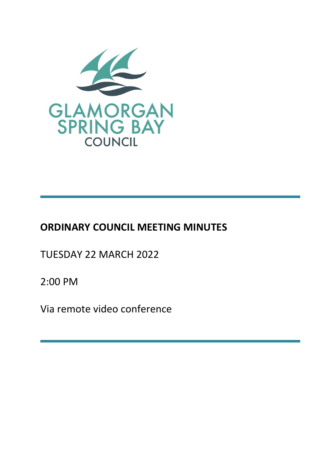

# **ORDINARY COUNCIL MEETING MINUTES**

TUESDAY 22 MARCH 2022

2:00 PM

Via remote video conference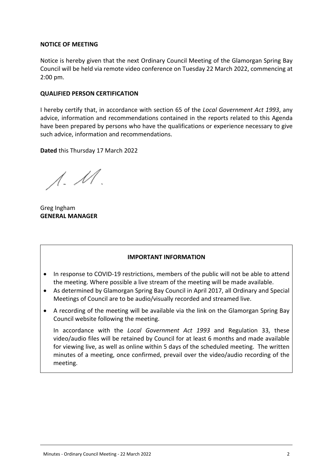#### **NOTICE OF MEETING**

Notice is hereby given that the next Ordinary Council Meeting of the Glamorgan Spring Bay Council will be held via remote video conference on Tuesday 22 March 2022, commencing at 2:00 pm.

#### **QUALIFIED PERSON CERTIFICATION**

I hereby certify that, in accordance with section 65 of the *Local Government Act 1993*, any advice, information and recommendations contained in the reports related to this Agenda have been prepared by persons who have the qualifications or experience necessary to give such advice, information and recommendations.

**Dated** this Thursday 17 March 2022

 $\Lambda$ .  $\mathcal M$ .

Greg Ingham **GENERAL MANAGER**

#### **IMPORTANT INFORMATION**

- In response to COVID-19 restrictions, members of the public will not be able to attend the meeting. Where possible a live stream of the meeting will be made available.
- As determined by Glamorgan Spring Bay Council in April 2017, all Ordinary and Special Meetings of Council are to be audio/visually recorded and streamed live.
- A recording of the meeting will be available via the link on the Glamorgan Spring Bay Council website following the meeting.

In accordance with the *Local Government Act 1993* and Regulation 33, these video/audio files will be retained by Council for at least 6 months and made available for viewing live, as well as online within 5 days of the scheduled meeting. The written minutes of a meeting, once confirmed, prevail over the video/audio recording of the meeting.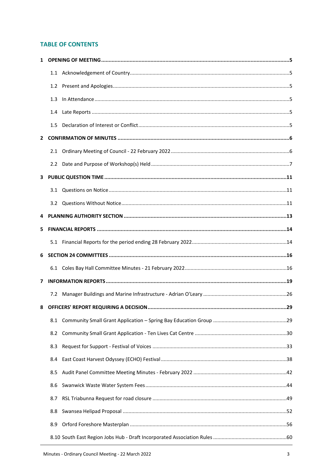## **TABLE OF CONTENTS**

|              | 1.2              |  |
|--------------|------------------|--|
|              | 1.3              |  |
|              | $1.4\phantom{0}$ |  |
|              | 1.5              |  |
| $\mathbf{2}$ |                  |  |
|              |                  |  |
|              |                  |  |
| 3            |                  |  |
|              | 3.1              |  |
|              |                  |  |
| 4            |                  |  |
| 5.           |                  |  |
|              |                  |  |
|              |                  |  |
| 6            |                  |  |
|              |                  |  |
| 7            |                  |  |
|              | 7.2              |  |
| 8            |                  |  |
|              | 8.1              |  |
|              | 8.2              |  |
|              | 8.3              |  |
|              | 8.4              |  |
|              | 8.5              |  |
|              | 8.6              |  |
|              | 8.7              |  |
|              | 8.8              |  |
|              | 8.9              |  |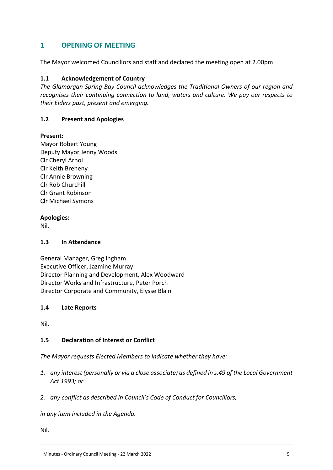# <span id="page-4-0"></span>**1 OPENING OF MEETING**

The Mayor welcomed Councillors and staff and declared the meeting open at 2.00pm

## <span id="page-4-1"></span>**1.1 Acknowledgement of Country**

*The Glamorgan Spring Bay Council acknowledges the Traditional Owners of our region and recognises their continuing connection to land, waters and culture. We pay our respects to their Elders past, present and emerging.*

## <span id="page-4-2"></span>**1.2 Present and Apologies**

#### **Present:**

Mayor Robert Young Deputy Mayor Jenny Woods Clr Cheryl Arnol Clr Keith Breheny Clr Annie Browning Clr Rob Churchill Clr Grant Robinson Clr Michael Symons

#### **Apologies:**

Nil.

#### <span id="page-4-3"></span>**1.3 In Attendance**

General Manager, Greg Ingham Executive Officer, Jazmine Murray Director Planning and Development, Alex Woodward Director Works and Infrastructure, Peter Porch Director Corporate and Community, Elysse Blain

#### <span id="page-4-4"></span>**1.4 Late Reports**

Nil.

#### <span id="page-4-5"></span>**1.5 Declaration of Interest or Conflict**

*The Mayor requests Elected Members to indicate whether they have:*

- *1. any interest (personally or via a close associate) as defined in s.49 of the Local Government Act 1993; or*
- *2. any conflict as described in Council's Code of Conduct for Councillors,*

*in any item included in the Agenda.*

Nil.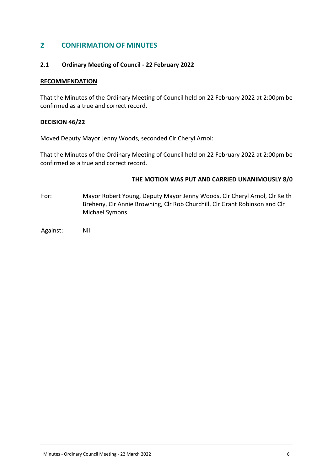## <span id="page-5-0"></span>**2 CONFIRMATION OF MINUTES**

#### <span id="page-5-1"></span>**2.1 Ordinary Meeting of Council - 22 February 2022**

#### **RECOMMENDATION**

That the Minutes of the Ordinary Meeting of Council held on 22 February 2022 at 2:00pm be confirmed as a true and correct record.

#### **DECISION 46/22**

Moved Deputy Mayor Jenny Woods, seconded Clr Cheryl Arnol:

That the Minutes of the Ordinary Meeting of Council held on 22 February 2022 at 2:00pm be confirmed as a true and correct record.

#### **THE MOTION WAS PUT AND CARRIED UNANIMOUSLY 8/0**

- For: Mayor Robert Young, Deputy Mayor Jenny Woods, Clr Cheryl Arnol, Clr Keith Breheny, Clr Annie Browning, Clr Rob Churchill, Clr Grant Robinson and Clr Michael Symons
- Against: Nil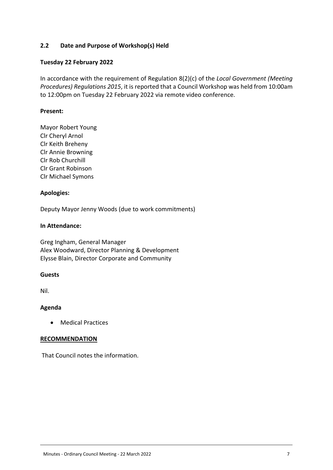## <span id="page-6-0"></span>**2.2 Date and Purpose of Workshop(s) Held**

## **Tuesday 22 February 2022**

In accordance with the requirement of Regulation 8(2)(c) of the *Local Government (Meeting Procedures) Regulations 2015*, it is reported that a Council Workshop was held from 10:00am to 12:00pm on Tuesday 22 February 2022 via remote video conference.

## **Present:**

Mayor Robert Young Clr Cheryl Arnol Clr Keith Breheny Clr Annie Browning Clr Rob Churchill Clr Grant Robinson Clr Michael Symons

#### **Apologies:**

Deputy Mayor Jenny Woods (due to work commitments)

#### **In Attendance:**

Greg Ingham, General Manager Alex Woodward, Director Planning & Development Elysse Blain, Director Corporate and Community

#### **Guests**

Nil.

#### **Agenda**

Medical Practices

#### **RECOMMENDATION**

That Council notes the information.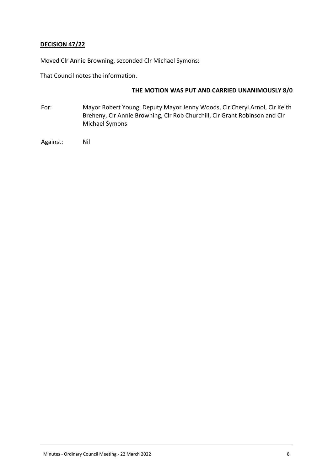## **DECISION 47/22**

Moved Clr Annie Browning, seconded Clr Michael Symons:

That Council notes the information.

## **THE MOTION WAS PUT AND CARRIED UNANIMOUSLY 8/0**

- For: Mayor Robert Young, Deputy Mayor Jenny Woods, Clr Cheryl Arnol, Clr Keith Breheny, Clr Annie Browning, Clr Rob Churchill, Clr Grant Robinson and Clr Michael Symons
- Against: Nil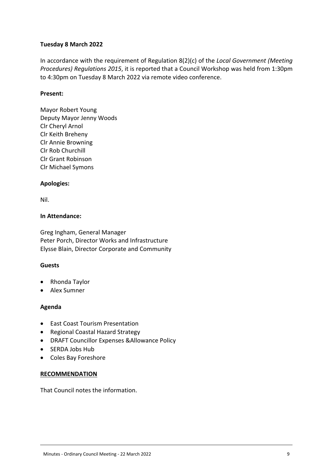## **Tuesday 8 March 2022**

In accordance with the requirement of Regulation 8(2)(c) of the *Local Government (Meeting Procedures) Regulations 2015*, it is reported that a Council Workshop was held from 1:30pm to 4:30pm on Tuesday 8 March 2022 via remote video conference.

## **Present:**

Mayor Robert Young Deputy Mayor Jenny Woods Clr Cheryl Arnol Clr Keith Breheny Clr Annie Browning Clr Rob Churchill Clr Grant Robinson Clr Michael Symons

## **Apologies:**

Nil.

#### **In Attendance:**

Greg Ingham, General Manager Peter Porch, Director Works and Infrastructure Elysse Blain, Director Corporate and Community

#### **Guests**

- Rhonda Taylor
- Alex Sumner

#### **Agenda**

- East Coast Tourism Presentation
- Regional Coastal Hazard Strategy
- DRAFT Councillor Expenses &Allowance Policy
- SERDA Jobs Hub
- Coles Bay Foreshore

#### **RECOMMENDATION**

That Council notes the information.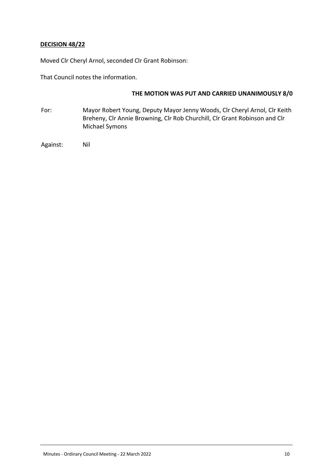## **DECISION 48/22**

Moved Clr Cheryl Arnol, seconded Clr Grant Robinson:

That Council notes the information.

#### **THE MOTION WAS PUT AND CARRIED UNANIMOUSLY 8/0**

For: Mayor Robert Young, Deputy Mayor Jenny Woods, Clr Cheryl Arnol, Clr Keith Breheny, Clr Annie Browning, Clr Rob Churchill, Clr Grant Robinson and Clr Michael Symons

Against: Nil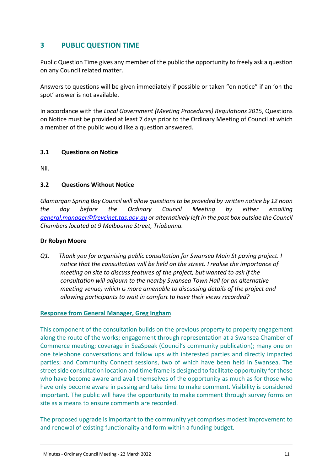# <span id="page-10-0"></span>**3 PUBLIC QUESTION TIME**

Public Question Time gives any member of the public the opportunity to freely ask a question on any Council related matter.

Answers to questions will be given immediately if possible or taken "on notice" if an 'on the spot' answer is not available.

In accordance with the *Local Government (Meeting Procedures) Regulations 2015*, Questions on Notice must be provided at least 7 days prior to the Ordinary Meeting of Council at which a member of the public would like a question answered.

## <span id="page-10-1"></span>**3.1 Questions on Notice**

Nil.

## <span id="page-10-2"></span>**3.2 Questions Without Notice**

*Glamorgan Spring Bay Council will allow questions to be provided by written notice by 12 noon the day before the Ordinary Council Meeting by either emailing [general.manager@freycinet.tas.gov.au](mailto:general.manager@freycinet.tas.gov.au) or alternatively left in the post box outside the Council Chambers located at 9 Melbourne Street, Triabunna.*

#### **Dr Robyn Moore**

*Q1. Thank you for organising public consultation for Swansea Main St paving project. I notice that the consultation will be held on the street. I realise the importance of meeting on site to discuss features of the project, but wanted to ask if the consultation will adjourn to the nearby Swansea Town Hall (or an alternative meeting venue) which is more amenable to discussing details of the project and allowing participants to wait in comfort to have their views recorded?*

#### **Response from General Manager, Greg Ingham**

This component of the consultation builds on the previous property to property engagement along the route of the works; engagement through representation at a Swansea Chamber of Commerce meeting; coverage in SeaSpeak (Council's community publication); many one on one telephone conversations and follow ups with interested parties and directly impacted parties; and Community Connect sessions, two of which have been held in Swansea. The street side consultation location and time frame is designed to facilitate opportunity for those who have become aware and avail themselves of the opportunity as much as for those who have only become aware in passing and take time to make comment. Visibility is considered important. The public will have the opportunity to make comment through survey forms on site as a means to ensure comments are recorded.

The proposed upgrade is important to the community yet comprises modest improvement to and renewal of existing functionality and form within a funding budget.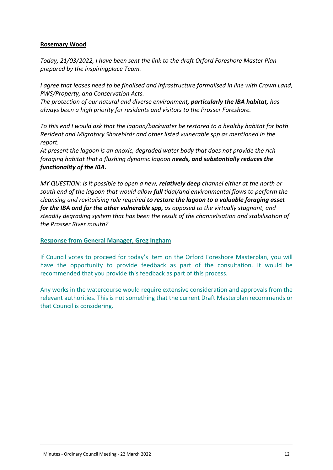## **Rosemary Wood**

*Today, 21/03/2022, I have been sent the link to the draft Orford Foreshore Master Plan prepared by the inspiringplace Team.*

*I agree that leases need to be finalised and infrastructure formalised in line with Crown Land, PWS/Property, and Conservation Acts.*

*The protection of our natural and diverse environment, particularly the IBA habitat, has always been a high priority for residents and visitors to the Prosser Foreshore.*

*To this end I would ask that the lagoon/backwater be restored to a healthy habitat for both Resident and Migratory Shorebirds and other listed vulnerable spp as mentioned in the report.*

*At present the lagoon is an anoxic, degraded water body that does not provide the rich foraging habitat that a flushing dynamic lagoon needs, and substantially reduces the functionality of the IBA.*

*MY QUESTION: Is it possible to open a new, relatively deep channel either at the north or south end of the lagoon that would allow full tidal/and environmental flows to perform the cleansing and revitalising role required to restore the lagoon to a valuable foraging asset for the IBA and for the other vulnerable spp, as opposed to the virtually stagnant, and steadily degrading system that has been the result of the channelisation and stabilisation of the Prosser River mouth?*

#### **Response from General Manager, Greg Ingham**

If Council votes to proceed for today's item on the Orford Foreshore Masterplan, you will have the opportunity to provide feedback as part of the consultation. It would be recommended that you provide this feedback as part of this process.

Any works in the watercourse would require extensive consideration and approvals from the relevant authorities. This is not something that the current Draft Masterplan recommends or that Council is considering.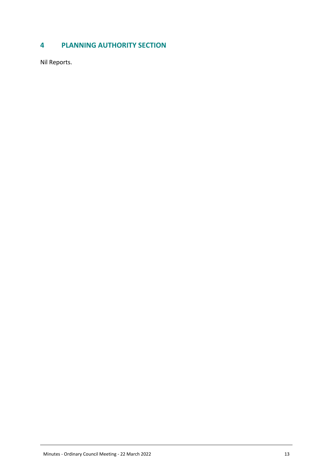# <span id="page-12-0"></span>**4 PLANNING AUTHORITY SECTION**

Nil Reports.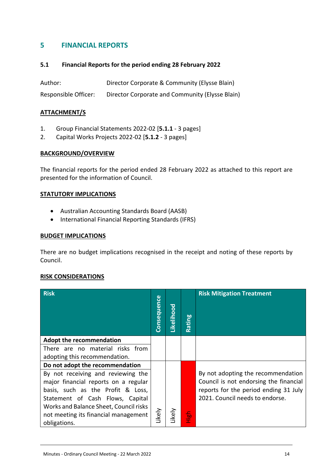# <span id="page-13-0"></span>**5 FINANCIAL REPORTS**

## <span id="page-13-1"></span>**5.1 Financial Reports for the period ending 28 February 2022**

Author: Director Corporate & Community (Elysse Blain) Responsible Officer: Director Corporate and Community (Elysse Blain)

## **ATTACHMENT/S**

- 1. Group Financial Statements 2022-02 [**5.1.1** 3 pages]
- 2. Capital Works Projects 2022-02 [**5.1.2** 3 pages]

#### **BACKGROUND/OVERVIEW**

The financial reports for the period ended 28 February 2022 as attached to this report are presented for the information of Council.

#### **STATUTORY IMPLICATIONS**

- Australian Accounting Standards Board (AASB)
- International Financial Reporting Standards (IFRS)

#### **BUDGET IMPLICATIONS**

There are no budget implications recognised in the receipt and noting of these reports by Council.

#### **RISK CONSIDERATIONS**

| <b>Risk</b>                            | <b>Consequence</b> | Likelihood | Rating    | <b>Risk Mitigation Treatment</b>                                                |
|----------------------------------------|--------------------|------------|-----------|---------------------------------------------------------------------------------|
| <b>Adopt the recommendation</b>        |                    |            |           |                                                                                 |
| There are no material risks from       |                    |            |           |                                                                                 |
| adopting this recommendation.          |                    |            |           |                                                                                 |
| Do not adopt the recommendation        |                    |            |           |                                                                                 |
| By not receiving and reviewing the     |                    |            |           | By not adopting the recommendation                                              |
| major financial reports on a regular   |                    |            |           | Council is not endorsing the financial<br>reports for the period ending 31 July |
| basis, such as the Profit & Loss,      |                    |            |           | 2021. Council needs to endorse.                                                 |
| Statement of Cash Flows, Capital       |                    |            |           |                                                                                 |
| Works and Balance Sheet, Council risks |                    |            |           |                                                                                 |
| not meeting its financial management   | Likely             | ikely      | 1igh<br>도 |                                                                                 |
| obligations.                           |                    |            |           |                                                                                 |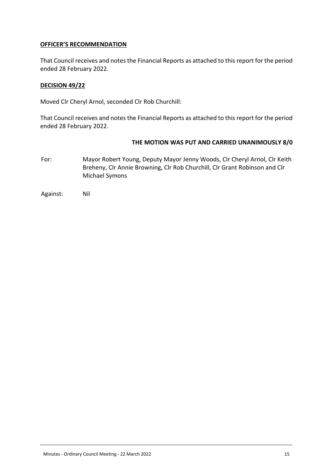## **OFFICER'S RECOMMENDATION**

That Council receives and notes the Financial Reports as attached to this report for the period ended 28 February 2022.

#### **DECISION 49/22**

Moved Clr Cheryl Arnol, seconded Clr Rob Churchill:

That Council receives and notes the Financial Reports as attached to this report for the period ended 28 February 2022.

## **THE MOTION WAS PUT AND CARRIED UNANIMOUSLY 8/0**

For: Mayor Robert Young, Deputy Mayor Jenny Woods, Clr Cheryl Arnol, Clr Keith Breheny, Clr Annie Browning, Clr Rob Churchill, Clr Grant Robinson and Clr Michael Symons

Against: Nil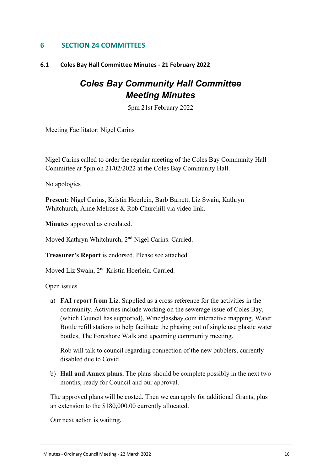# <span id="page-15-0"></span>**6 SECTION 24 COMMITTEES**

## <span id="page-15-1"></span>**6.1 Coles Bay Hall Committee Minutes - 21 February 2022**

# *Coles Bay Community Hall Committee Meeting Minutes*

5pm 21st February 2022

Meeting Facilitator: Nigel Carins

Nigel Carins called to order the regular meeting of the Coles Bay Community Hall Committee at 5pm on 21/02/2022 at the Coles Bay Community Hall.

No apologies

Present: Nigel Carins, Kristin Hoerlein, Barb Barrett, Liz Swain, Kathryn Whitchurch, Anne Melrose & Rob Churchill via video link.

**Minutes** approved as circulated.

Moved Kathryn Whitchurch, 2<sup>nd</sup> Nigel Carins. Carried.

V. **Treasurer's Report** is endorsed. Please see attached.

Moved Liz Swain, 2<sup>nd</sup> Kristin Hoerlein. Carried.

Open issues

a) **FAI report from Liz**. Supplied as a cross reference for the activities in the community. Activities include working on the sewerage issue of Coles Bay, (which Council has supported), Wineglassbay.com interactive mapping, Water Bottle refill stations to help facilitate the phasing out of single use plastic water bottles, The Foreshore Walk and upcoming community meeting.

Rob will talk to council regarding connection of the new bubblers, currently disabled due to Covid.

b) **Hall and Annex plans.** The plans should be complete possibly in the next two months, ready for Council and our approval.

The approved plans will be costed. Then we can apply for additional Grants, plus an extension to the \$180,000.00 currently allocated.

Our next action is waiting.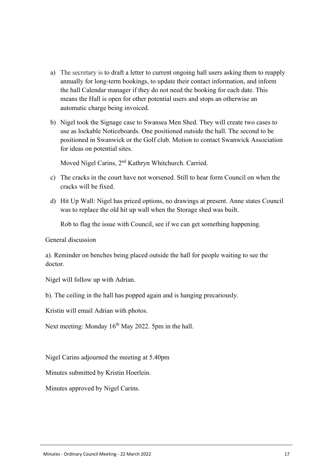- a) The secretary is to draft a letter to current ongoing hall users asking them to reapply annually for long-term bookings, to update their contact information, and inform the hall Calendar manager if they do not need the booking for each date. This means the Hall is open for other potential users and stops an otherwise an automatic charge being invoiced.
- b) Nigel took the Signage case to Swansea Men Shed. They will create two cases to use as lockable Noticeboards. One positioned outside the hall. The second to be positioned in Swanwick or the Golf club. Motion to contact Swanwick Association for ideas on potential sites.

Moved Nigel Carins, 2<sup>nd</sup> Kathryn Whitchurch. Carried.

- c) The cracks in the court have not worsened. Still to hear form Council on when the cracks will be fixed.
- d) Hit Up Wall: Nigel has priced options, no drawings at present. Anne states Council was to replace the old hit up wall when the Storage shed was built.

Rob to flag the issue with Council, see if we can get something happening.

General discussion

a). Reminder on benches being placed outside the hall for people waiting to see the doctor.

Nigel will follow up with Adrian.

b). The ceiling in the hall has popped again and is hanging precariously.

Kristin will email Adrian with photos.

Next meeting: Monday 16<sup>th</sup> May 2022. 5pm in the hall.

Nigel Carins adjourned the meeting at 5.40pm

Minutes submitted by Kristin Hoerlein.

Minutes approved by Nigel Carins.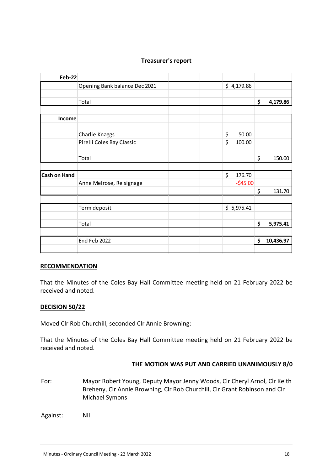| <b>Feb-22</b>       |                               |              |                 |
|---------------------|-------------------------------|--------------|-----------------|
|                     | Opening Bank balance Dec 2021 | \$4,179.86   |                 |
|                     |                               |              |                 |
|                     | Total                         |              | \$<br>4,179.86  |
|                     |                               |              |                 |
| Income              |                               |              |                 |
|                     |                               |              |                 |
|                     | Charlie Knaggs                | \$<br>50.00  |                 |
|                     | Pirelli Coles Bay Classic     | \$<br>100.00 |                 |
|                     |                               |              |                 |
|                     | Total                         |              | \$<br>150.00    |
|                     |                               |              |                 |
| <b>Cash on Hand</b> |                               | \$<br>176.70 |                 |
|                     | Anne Melrose, Re signage      | $-$45.00$    |                 |
|                     |                               |              | \$<br>131.70    |
|                     |                               |              |                 |
|                     | Term deposit                  | \$5,975.41   |                 |
|                     |                               |              |                 |
|                     | Total                         |              | \$<br>5,975.41  |
|                     |                               |              |                 |
|                     | End Feb 2022                  |              | \$<br>10,436.97 |
|                     |                               |              |                 |

## **Treasurer's report**

#### **RECOMMENDATION**

That the Minutes of the Coles Bay Hall Committee meeting held on 21 February 2022 be received and noted.

#### **DECISION 50/22**

Moved Clr Rob Churchill, seconded Clr Annie Browning:

That the Minutes of the Coles Bay Hall Committee meeting held on 21 February 2022 be received and noted.

#### **THE MOTION WAS PUT AND CARRIED UNANIMOUSLY 8/0**

For: Mayor Robert Young, Deputy Mayor Jenny Woods, Clr Cheryl Arnol, Clr Keith Breheny, Clr Annie Browning, Clr Rob Churchill, Clr Grant Robinson and Clr Michael Symons

Against: Nil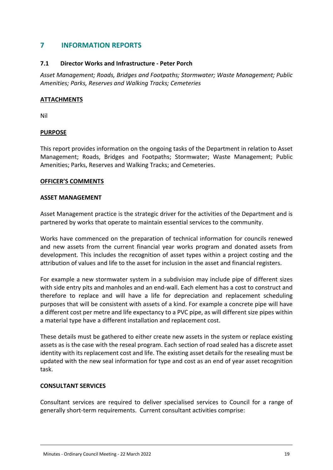# <span id="page-18-0"></span>**7 INFORMATION REPORTS**

## **7.1 Director Works and Infrastructure - Peter Porch**

*Asset Management; Roads, Bridges and Footpaths; Stormwater; Waste Management; Public Amenities; Parks, Reserves and Walking Tracks; Cemeteries*

## **ATTACHMENTS**

Nil

## **PURPOSE**

This report provides information on the ongoing tasks of the Department in relation to Asset Management; Roads, Bridges and Footpaths; Stormwater; Waste Management; Public Amenities; Parks, Reserves and Walking Tracks; and Cemeteries.

#### **OFFICER'S COMMENTS**

#### **ASSET MANAGEMENT**

Asset Management practice is the strategic driver for the activities of the Department and is partnered by works that operate to maintain essential services to the community.

Works have commenced on the preparation of technical information for councils renewed and new assets from the current financial year works program and donated assets from development. This includes the recognition of asset types within a project costing and the attribution of values and life to the asset for inclusion in the asset and financial registers.

For example a new stormwater system in a subdivision may include pipe of different sizes with side entry pits and manholes and an end-wall. Each element has a cost to construct and therefore to replace and will have a life for depreciation and replacement scheduling purposes that will be consistent with assets of a kind. For example a concrete pipe will have a different cost per metre and life expectancy to a PVC pipe, as will different size pipes within a material type have a different installation and replacement cost.

These details must be gathered to either create new assets in the system or replace existing assets as is the case with the reseal program. Each section of road sealed has a discrete asset identity with its replacement cost and life. The existing asset details for the resealing must be updated with the new seal information for type and cost as an end of year asset recognition task.

#### **CONSULTANT SERVICES**

Consultant services are required to deliver specialised services to Council for a range of generally short-term requirements. Current consultant activities comprise: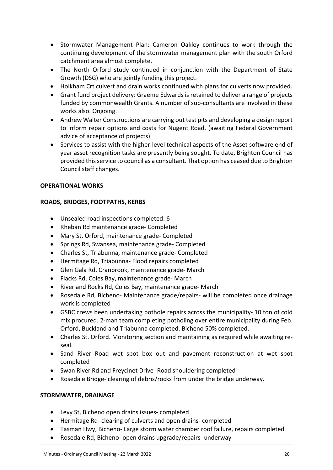- Stormwater Management Plan: Cameron Oakley continues to work through the continuing development of the stormwater management plan with the south Orford catchment area almost complete.
- The North Orford study continued in conjunction with the Department of State Growth (DSG) who are jointly funding this project.
- Holkham Crt culvert and drain works continued with plans for culverts now provided.
- Grant fund project delivery: Graeme Edwards is retained to deliver a range of projects funded by commonwealth Grants. A number of sub-consultants are involved in these works also. Ongoing.
- Andrew Walter Constructions are carrying out test pits and developing a design report to inform repair options and costs for Nugent Road. (awaiting Federal Government advice of acceptance of projects)
- Services to assist with the higher-level technical aspects of the Asset software end of year asset recognition tasks are presently being sought. To date, Brighton Council has provided this service to council as a consultant. That option has ceased due to Brighton Council staff changes.

## **OPERATIONAL WORKS**

## **ROADS, BRIDGES, FOOTPATHS, KERBS**

- Unsealed road inspections completed: 6
- Rheban Rd maintenance grade- Completed
- Mary St, Orford, maintenance grade- Completed
- Springs Rd, Swansea, maintenance grade- Completed
- Charles St, Triabunna, maintenance grade- Completed
- Hermitage Rd, Triabunna- Flood repairs completed
- Glen Gala Rd, Cranbrook, maintenance grade- March
- Flacks Rd, Coles Bay, maintenance grade- March
- River and Rocks Rd, Coles Bay, maintenance grade- March
- Rosedale Rd, Bicheno- Maintenance grade/repairs- will be completed once drainage work is completed
- GSBC crews been undertaking pothole repairs across the municipality- 10 ton of cold mix procured. 2-man team completing potholing over entire municipality during Feb. Orford, Buckland and Triabunna completed. Bicheno 50% completed.
- Charles St. Orford. Monitoring section and maintaining as required while awaiting reseal.
- Sand River Road wet spot box out and pavement reconstruction at wet spot completed
- Swan River Rd and Freycinet Drive- Road shouldering completed
- Rosedale Bridge- clearing of debris/rocks from under the bridge underway.

#### **STORMWATER, DRAINAGE**

- Levy St, Bicheno open drains issues- completed
- Hermitage Rd- clearing of culverts and open drains- completed
- Tasman Hwy, Bicheno- Large storm water chamber roof failure, repairs completed
- Rosedale Rd, Bicheno- open drains upgrade/repairs- underway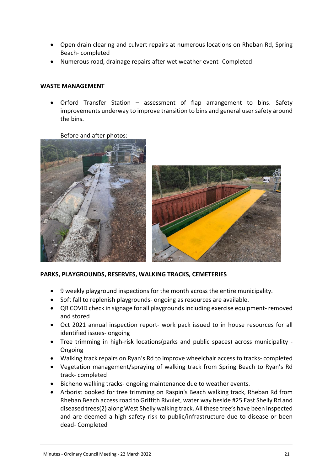- Open drain clearing and culvert repairs at numerous locations on Rheban Rd, Spring Beach- completed
- Numerous road, drainage repairs after wet weather event- Completed

#### **WASTE MANAGEMENT**

 Orford Transfer Station – assessment of flap arrangement to bins. Safety improvements underway to improve transition to bins and general user safety around the bins.

Before and after photos:





#### **PARKS, PLAYGROUNDS, RESERVES, WALKING TRACKS, CEMETERIES**

- 9 weekly playground inspections for the month across the entire municipality.
- Soft fall to replenish playgrounds-ongoing as resources are available.
- QR COVID check in signage for all playgrounds including exercise equipment- removed and stored
- Oct 2021 annual inspection report- work pack issued to in house resources for all identified issues- ongoing
- Tree trimming in high-risk locations(parks and public spaces) across municipality Ongoing
- Walking track repairs on Ryan's Rd to improve wheelchair access to tracks- completed
- Vegetation management/spraying of walking track from Spring Beach to Ryan's Rd track- completed
- Bicheno walking tracks- ongoing maintenance due to weather events.
- Arborist booked for tree trimming on Raspin's Beach walking track, Rheban Rd from Rheban Beach access road to Griffith Rivulet, water way beside #25 East Shelly Rd and diseased trees(2) along West Shelly walking track. All these tree's have been inspected and are deemed a high safety risk to public/infrastructure due to disease or been dead- Completed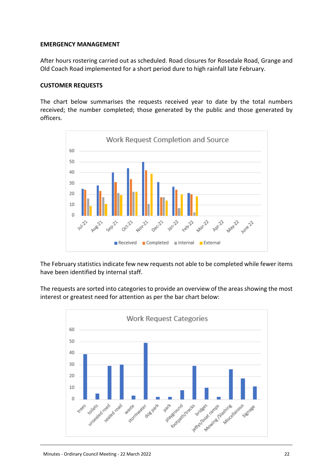## **EMERGENCY MANAGEMENT**

After hours rostering carried out as scheduled. Road closures for Rosedale Road, Grange and Old Coach Road implemented for a short period dure to high rainfall late February.

#### **CUSTOMER REQUESTS**

The chart below summarises the requests received year to date by the total numbers received; the number completed; those generated by the public and those generated by officers.



The February statistics indicate few new requests not able to be completed while fewer items have been identified by internal staff.

The requests are sorted into categories to provide an overview of the areas showing the most interest or greatest need for attention as per the bar chart below:

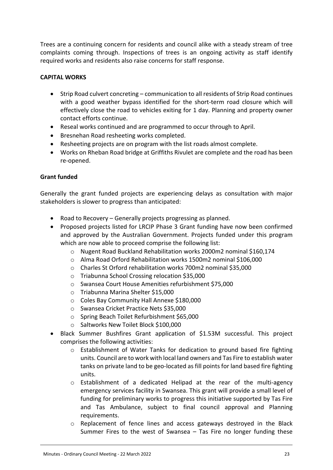Trees are a continuing concern for residents and council alike with a steady stream of tree complaints coming through. Inspections of trees is an ongoing activity as staff identify required works and residents also raise concerns for staff response.

## **CAPITAL WORKS**

- Strip Road culvert concreting communication to all residents of Strip Road continues with a good weather bypass identified for the short-term road closure which will effectively close the road to vehicles exiting for 1 day. Planning and property owner contact efforts continue.
- Reseal works continued and are programmed to occur through to April.
- Bresnehan Road resheeting works completed.
- Resheeting projects are on program with the list roads almost complete.
- Works on Rheban Road bridge at Griffiths Rivulet are complete and the road has been re-opened.

## **Grant funded**

Generally the grant funded projects are experiencing delays as consultation with major stakeholders is slower to progress than anticipated:

- Road to Recovery Generally projects progressing as planned.
- Proposed projects listed for LRCIP Phase 3 Grant funding have now been confirmed and approved by the Australian Government. Projects funded under this program which are now able to proceed comprise the following list:
	- o Nugent Road Buckland Rehabilitation works 2000m2 nominal \$160,174
	- o Alma Road Orford Rehabilitation works 1500m2 nominal \$106,000
	- o Charles St Orford rehabilitation works 700m2 nominal \$35,000
	- o Triabunna School Crossing relocation \$35,000
	- o Swansea Court House Amenities refurbishment \$75,000
	- o Triabunna Marina Shelter \$15,000
	- o Coles Bay Community Hall Annexe \$180,000
	- o Swansea Cricket Practice Nets \$35,000
	- o Spring Beach Toilet Refurbishment \$65,000
	- o Saltworks New Toilet Block \$100,000
- Black Summer Bushfires Grant application of \$1.53M successful. This project comprises the following activities:
	- o Establishment of Water Tanks for dedication to ground based fire fighting units. Council are to work with local land owners and Tas Fire to establish water tanks on private land to be geo-located as fill points for land based fire fighting units.
	- $\circ$  Establishment of a dedicated Helipad at the rear of the multi-agency emergency services facility in Swansea. This grant will provide a small level of funding for preliminary works to progress this initiative supported by Tas Fire and Tas Ambulance, subject to final council approval and Planning requirements.
	- $\circ$  Replacement of fence lines and access gateways destroyed in the Black Summer Fires to the west of Swansea – Tas Fire no longer funding these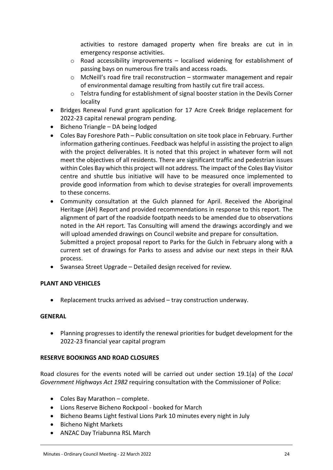activities to restore damaged property when fire breaks are cut in in emergency response activities.

- $\circ$  Road accessibility improvements localised widening for establishment of passing bays on numerous fire trails and access roads.
- o McNeill's road fire trail reconstruction stormwater management and repair of environmental damage resulting from hastily cut fire trail access.
- $\circ$  Telstra funding for establishment of signal booster station in the Devils Corner locality
- Bridges Renewal Fund grant application for 17 Acre Creek Bridge replacement for 2022-23 capital renewal program pending.
- $\bullet$  Bicheno Triangle DA being lodged
- Coles Bay Foreshore Path Public consultation on site took place in February. Further information gathering continues. Feedback was helpful in assisting the project to align with the project deliverables. It is noted that this project in whatever form will not meet the objectives of all residents. There are significant traffic and pedestrian issues within Coles Bay which this project will not address. The impact of the Coles Bay Visitor centre and shuttle bus initiative will have to be measured once implemented to provide good information from which to devise strategies for overall improvements to these concerns.
- Community consultation at the Gulch planned for April. Received the Aboriginal Heritage (AH) Report and provided recommendations in response to this report. The alignment of part of the roadside footpath needs to be amended due to observations noted in the AH report. Tas Consulting will amend the drawings accordingly and we will upload amended drawings on Council website and prepare for consultation. Submitted a project proposal report to Parks for the Gulch in February along with a current set of drawings for Parks to assess and advise our next steps in their RAA process.
- Swansea Street Upgrade Detailed design received for review.

## **PLANT AND VEHICLES**

Replacement trucks arrived as advised – tray construction underway.

## **GENERAL**

 Planning progresses to identify the renewal priorities for budget development for the 2022-23 financial year capital program

## **RESERVE BOOKINGS AND ROAD CLOSURES**

Road closures for the events noted will be carried out under section 19.1(a) of the *Local Government Highways Act 1982* requiring consultation with the Commissioner of Police:

- Coles Bay Marathon complete.
- Lions Reserve Bicheno Rockpool booked for March
- Bicheno Beams Light festival Lions Park 10 minutes every night in July
- **•** Bicheno Night Markets
- ANZAC Day Triabunna RSL March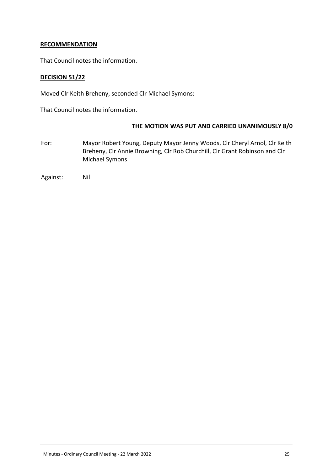## **RECOMMENDATION**

That Council notes the information.

## **DECISION 51/22**

Moved Clr Keith Breheny, seconded Clr Michael Symons:

That Council notes the information.

#### **THE MOTION WAS PUT AND CARRIED UNANIMOUSLY 8/0**

For: Mayor Robert Young, Deputy Mayor Jenny Woods, Clr Cheryl Arnol, Clr Keith Breheny, Clr Annie Browning, Clr Rob Churchill, Clr Grant Robinson and Clr Michael Symons

Against: Nil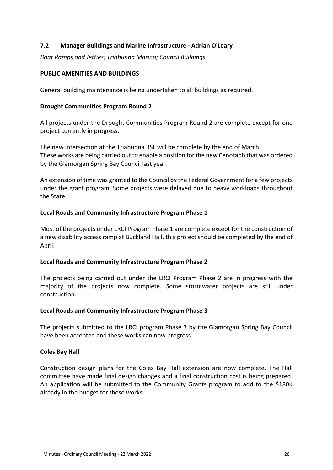## <span id="page-25-0"></span>**7.2 Manager Buildings and Marine Infrastructure - Adrian O'Leary**

*Boat Ramps and Jetties; Triabunna Marina; Council Buildings*

#### **PUBLIC AMENITIES AND BUILDINGS**

General building maintenance is being undertaken to all buildings as required.

#### **Drought Communities Program Round 2**

All projects under the Drought Communities Program Round 2 are complete except for one project currently in progress.

The new intersection at the Triabunna RSL will be complete by the end of March. These works are being carried out to enable a position for the new Cenotaph that was ordered by the Glamorgan Spring Bay Council last year.

An extension of time was granted to the Council by the Federal Government for a few projects under the grant program. Some projects were delayed due to heavy workloads throughout the State.

#### **Local Roads and Community Infrastructure Program Phase 1**

Most of the projects under LRCI Program Phase 1 are complete except for the construction of a new disability access ramp at Buckland Hall, this project should be completed by the end of April.

#### **Local Roads and Community Infrastructure Program Phase 2**

The projects being carried out under the LRCI Program Phase 2 are in progress with the majority of the projects now complete. Some stormwater projects are still under construction.

#### **Local Roads and Community Infrastructure Program Phase 3**

The projects submitted to the LRCI program Phase 3 by the Glamorgan Spring Bay Council have been accepted and these works can now progress.

#### **Coles Bay Hall**

Construction design plans for the Coles Bay Hall extension are now complete. The Hall committee have made final design changes and a final construction cost is being prepared. An application will be submitted to the Community Grants program to add to the \$180K already in the budget for these works.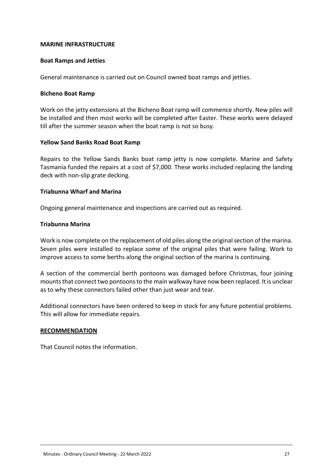#### **MARINE INFRASTRUCTURE**

#### **Boat Ramps and Jetties**

General maintenance is carried out on Council owned boat ramps and jetties.

#### **Bicheno Boat Ramp**

Work on the jetty extensions at the Bicheno Boat ramp will commence shortly. New piles will be installed and then most works will be completed after Easter. These works were delayed till after the summer season when the boat ramp is not so busy.

#### **Yellow Sand Banks Road Boat Ramp**

Repairs to the Yellow Sands Banks boat ramp jetty is now complete. Marine and Safety Tasmania funded the repairs at a cost of \$7,000. These works included replacing the landing deck with non-slip grate decking.

#### **Triabunna Wharf and Marina**

Ongoing general maintenance and inspections are carried out as required.

#### **Triabunna Marina**

Work is now complete on the replacement of old piles along the original section of the marina. Seven piles were installed to replace some of the original piles that were failing. Work to improve access to some berths along the original section of the marina is continuing.

A section of the commercial berth pontoons was damaged before Christmas, four joining mounts that connect two pontoons to the main walkway have now been replaced. It is unclear as to why these connectors failed other than just wear and tear.

Additional connectors have been ordered to keep in stock for any future potential problems. This will allow for immediate repairs.

#### **RECOMMENDATION**

That Council notes the information.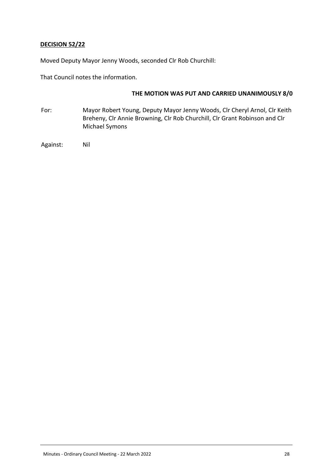## **DECISION 52/22**

Moved Deputy Mayor Jenny Woods, seconded Clr Rob Churchill:

That Council notes the information.

#### **THE MOTION WAS PUT AND CARRIED UNANIMOUSLY 8/0**

For: Mayor Robert Young, Deputy Mayor Jenny Woods, Clr Cheryl Arnol, Clr Keith Breheny, Clr Annie Browning, Clr Rob Churchill, Clr Grant Robinson and Clr Michael Symons

Against: Nil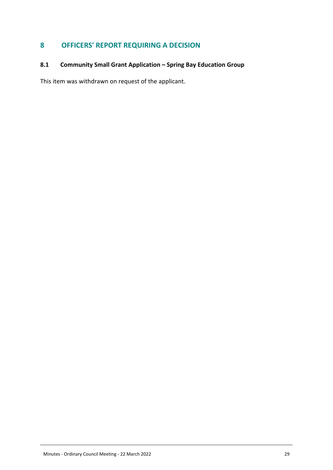# <span id="page-28-0"></span>**8 OFFICERS' REPORT REQUIRING A DECISION**

# <span id="page-28-1"></span>8.1 Community Small Grant Application – Spring Bay Education Group **8.1 Community Small Grant Application – Spring Bay Education Group**

This item was withdrawn on request of the applicant.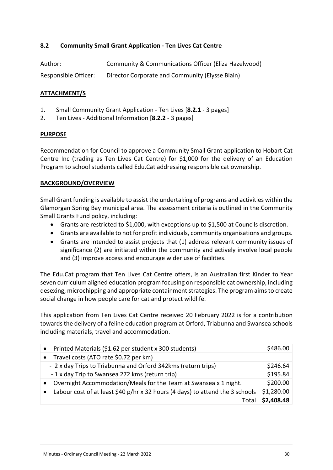## <span id="page-29-0"></span>**8.2 Community Small Grant Application - Ten Lives Cat Centre**

| Author:              | Community & Communications Officer (Eliza Hazelwood) |
|----------------------|------------------------------------------------------|
| Responsible Officer: | Director Corporate and Community (Elysse Blain)      |

## **ATTACHMENT/S**

- 1. Small Community Grant Application Ten Lives [**8.2.1** 3 pages]
- 2. Ten Lives Additional Information [**8.2.2** 3 pages]

#### **PURPOSE**

Recommendation for Council to approve a Community Small Grant application to Hobart Cat Centre Inc (trading as Ten Lives Cat Centre) for \$1,000 for the delivery of an Education Program to school students called Edu.Cat addressing responsible cat ownership.

## **BACKGROUND/OVERVIEW**

Small Grant funding is available to assist the undertaking of programs and activities within the Glamorgan Spring Bay municipal area. The assessment criteria is outlined in the Community Small Grants Fund policy, including:

- Grants are restricted to \$1,000, with exceptions up to \$1,500 at Councils discretion.
- Grants are available to not for profit individuals, community organisations and groups.
- Grants are intended to assist projects that (1) address relevant community issues of significance (2) are initiated within the community and actively involve local people and (3) improve access and encourage wider use of facilities.

The Edu.Cat program that Ten Lives Cat Centre offers, is an Australian first Kinder to Year seven curriculum aligned education program focusing on responsible cat ownership, including desexing, microchipping and appropriate containment strategies. The program aims to create social change in how people care for cat and protect wildlife.

This application from Ten Lives Cat Centre received 20 February 2022 is for a contribution towards the delivery of a feline education program at Orford, Triabunna and Swansea schools including materials, travel and accommodation.

| $\bullet$ | Printed Materials (\$1.62 per student x 300 students)                         | \$486.00   |
|-----------|-------------------------------------------------------------------------------|------------|
| $\bullet$ | Travel costs (ATO rate \$0.72 per km)                                         |            |
|           | - 2 x day Trips to Triabunna and Orford 342kms (return trips)                 | \$246.64   |
|           | -1 x day Trip to Swansea 272 kms (return trip)                                | \$195.84   |
| $\bullet$ | Overnight Accommodation/Meals for the Team at Swansea x 1 night.              | \$200.00   |
|           | Labour cost of at least \$40 p/hr x 32 hours (4 days) to attend the 3 schools | \$1,280.00 |
|           | Tota                                                                          | \$2,408.48 |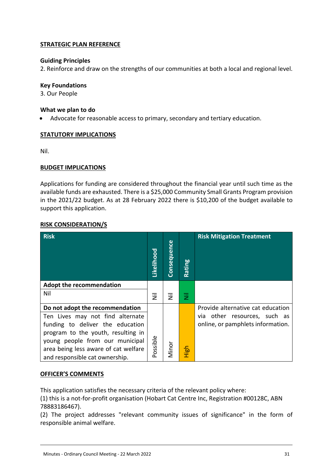## **STRATEGIC PLAN REFERENCE**

## **Guiding Principles**

2. Reinforce and draw on the strengths of our communities at both a local and regional level.

#### **Key Foundations**

3. Our People

#### **What we plan to do**

Advocate for reasonable access to primary, secondary and tertiary education.

## **STATUTORY IMPLICATIONS**

Nil.

## **BUDGET IMPLICATIONS**

Applications for funding are considered throughout the financial year until such time as the available funds are exhausted. There is a \$25,000 Community Small Grants Program provision in the 2021/22 budget. As at 28 February 2022 there is \$10,200 of the budget available to support this application.

## **RISK CONSIDERATION/S**

| <b>Risk</b>                          | Likelihood                | <b>Consequence</b> | Rating | <b>Risk Mitigation Treatment</b>  |
|--------------------------------------|---------------------------|--------------------|--------|-----------------------------------|
| <b>Adopt the recommendation</b>      |                           |                    |        |                                   |
| Nil                                  | $\overline{\overline{z}}$ | 乬                  | 赏      |                                   |
| Do not adopt the recommendation      |                           |                    |        | Provide alternative cat education |
| Ten Lives may not find alternate     |                           |                    |        | via other resources, such as      |
| funding to deliver the education     |                           |                    |        | online, or pamphlets information. |
| program to the youth, resulting in   |                           |                    |        |                                   |
| young people from our municipal      | Possible                  |                    |        |                                   |
| area being less aware of cat welfare |                           | Minor              | High   |                                   |
| and responsible cat ownership.       |                           |                    |        |                                   |

## **OFFICER'S COMMENTS**

This application satisfies the necessary criteria of the relevant policy where:

(1) this is a not-for-profit organisation (Hobart Cat Centre Inc, Registration #00128C, ABN 78883186467).

(2) The project addresses "relevant community issues of significance" in the form of responsible animal welfare.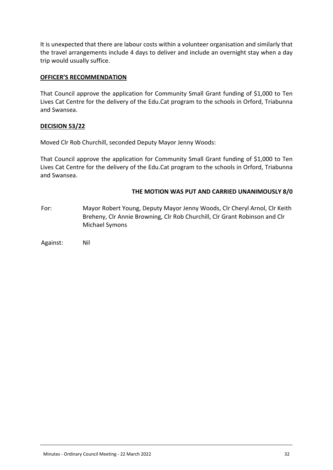It is unexpected that there are labour costs within a volunteer organisation and similarly that the travel arrangements include 4 days to deliver and include an overnight stay when a day trip would usually suffice.

#### **OFFICER'S RECOMMENDATION**

That Council approve the application for Community Small Grant funding of \$1,000 to Ten Lives Cat Centre for the delivery of the Edu.Cat program to the schools in Orford, Triabunna and Swansea.

## **DECISION 53/22**

Moved Clr Rob Churchill, seconded Deputy Mayor Jenny Woods:

That Council approve the application for Community Small Grant funding of \$1,000 to Ten Lives Cat Centre for the delivery of the Edu.Cat program to the schools in Orford, Triabunna and Swansea.

## **THE MOTION WAS PUT AND CARRIED UNANIMOUSLY 8/0**

For: Mayor Robert Young, Deputy Mayor Jenny Woods, Clr Cheryl Arnol, Clr Keith Breheny, Clr Annie Browning, Clr Rob Churchill, Clr Grant Robinson and Clr Michael Symons

Against: Nil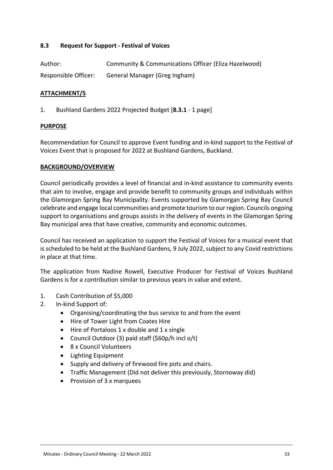## <span id="page-32-0"></span>**8.3 Request for Support - Festival of Voices**

| Author:              | Community & Communications Officer (Eliza Hazelwood) |
|----------------------|------------------------------------------------------|
| Responsible Officer: | General Manager (Greg Ingham)                        |

#### **ATTACHMENT/S**

1. Bushland Gardens 2022 Projected Budget [**8.3.1** - 1 page]

#### **PURPOSE**

Recommendation for Council to approve Event funding and in-kind support to the Festival of Voices Event that is proposed for 2022 at Bushland Gardens, Buckland.

#### **BACKGROUND/OVERVIEW**

Council periodically provides a level of financial and in-kind assistance to community events that aim to involve, engage and provide benefit to community groups and individuals within the Glamorgan Spring Bay Municipality. Events supported by Glamorgan Spring Bay Council celebrate and engage local communities and promote tourism to our region. Councils ongoing support to organisations and groups assists in the delivery of events in the Glamorgan Spring Bay municipal area that have creative, community and economic outcomes.

Council has received an application to support the Festival of Voices for a musical event that is scheduled to be held at the Bushland Gardens, 9 July 2022, subject to any Covid restrictions in place at that time.

The application from Nadine Rowell, Executive Producer for Festival of Voices Bushland Gardens is for a contribution similar to previous years in value and extent.

- 1. Cash Contribution of \$5,000
- 2. In-kind Support of:
	- Organising/coordinating the bus service to and from the event
	- Hire of Tower Light from Coates Hire
	- Hire of Portaloos 1 x double and 1 x single
	- Council Outdoor (3) paid staff (\$60p/h incl o/t)
	- 8 x Council Volunteers
	- Lighting Equipment
	- Supply and delivery of firewood fire pots and chairs.
	- Traffic Management (Did not deliver this previously, Stornoway did)
	- Provision of 3 x marquees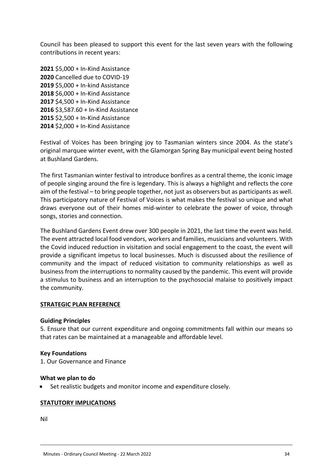Council has been pleased to support this event for the last seven years with the following contributions in recent years:

 \$5,000 + In-Kind Assistance Cancelled due to COVID-19 \$5,000 + In-kind Assistance \$6,000 + In-Kind Assistance \$4,500 + In-Kind Assistance \$3,587.60 + In-Kind Assistance \$2,500 + In-Kind Assistance \$2,000 + In-Kind Assistance

Festival of Voices has been bringing joy to Tasmanian winters since 2004. As the state's original marquee winter event, with the Glamorgan Spring Bay municipal event being hosted at Bushland Gardens.

The first Tasmanian winter festival to introduce bonfires as a central theme, the iconic image of people singing around the fire is legendary. This is always a highlight and reflects the core aim of the festival – to bring people together, not just as observers but as participants as well. This participatory nature of Festival of Voices is what makes the festival so unique and what draws everyone out of their homes mid-winter to celebrate the power of voice, through songs, stories and connection.

The Bushland Gardens Event drew over 300 people in 2021, the last time the event was held. The event attracted local food vendors, workers and families, musicians and volunteers. With the Covid induced reduction in visitation and social engagement to the coast, the event will provide a significant impetus to local businesses. Much is discussed about the resilience of community and the impact of reduced visitation to community relationships as well as business from the interruptions to normality caused by the pandemic. This event will provide a stimulus to business and an interruption to the psychosocial malaise to positively impact the community.

#### **STRATEGIC PLAN REFERENCE**

#### **Guiding Principles**

5. Ensure that our current expenditure and ongoing commitments fall within our means so that rates can be maintained at a manageable and affordable level.

#### **Key Foundations**

1. Our Governance and Finance

#### **What we plan to do**

Set realistic budgets and monitor income and expenditure closely.

#### **STATUTORY IMPLICATIONS**

Nil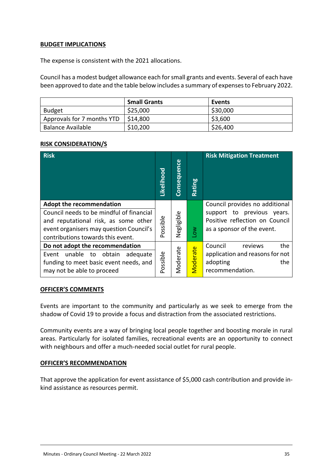## **BUDGET IMPLICATIONS**

The expense is consistent with the 2021 allocations.

Council has a modest budget allowance each for small grants and events. Several of each have been approved to date and the table below includes a summary of expenses to February 2022.

|                            | <b>Small Grants</b> | Events   |
|----------------------------|---------------------|----------|
| <b>Budget</b>              | \$25,000            | \$30,000 |
| Approvals for 7 months YTD | \$14.800            | \$3,600  |
| <b>Balance Available</b>   | \$10,200            | \$26,400 |

## **RISK CONSIDERATION/S**

| <b>Risk</b>                                                                                                                                                                                         | Likelihood | Consequence | Rating          | <b>Risk Mitigation Treatment</b>                                                                                             |
|-----------------------------------------------------------------------------------------------------------------------------------------------------------------------------------------------------|------------|-------------|-----------------|------------------------------------------------------------------------------------------------------------------------------|
| <b>Adopt the recommendation</b><br>Council needs to be mindful of financial<br>and reputational risk, as some other<br>event organisers may question Council's<br>contributions towards this event. | Possible   | Negligible  | $\geq$          | Council provides no additional<br>support to previous years.<br>Positive reflection on Council<br>as a sponsor of the event. |
| Do not adopt the recommendation<br>unable to<br>obtain<br>adequate<br>Event<br>funding to meet basic event needs, and<br>may not be able to proceed                                                 | Possible   | Moderate    | <b>Moderate</b> | Council<br>the<br>reviews<br>application and reasons for not<br>adopting<br>the<br>recommendation.                           |

#### **OFFICER'S COMMENTS**

Events are important to the community and particularly as we seek to emerge from the shadow of Covid 19 to provide a focus and distraction from the associated restrictions.

Community events are a way of bringing local people together and boosting morale in rural areas. Particularly for isolated families, recreational events are an opportunity to connect with neighbours and offer a much-needed social outlet for rural people.

#### **OFFICER'S RECOMMENDATION**

That approve the application for event assistance of \$5,000 cash contribution and provide inkind assistance as resources permit.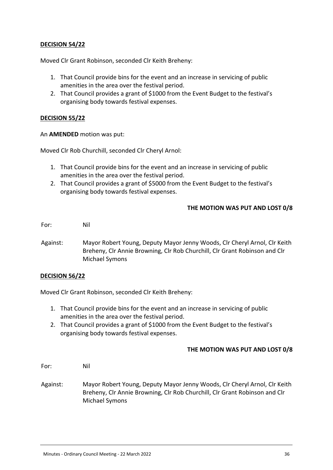## **DECISION 54/22**

Moved Clr Grant Robinson, seconded Clr Keith Breheny:

- 1. That Council provide bins for the event and an increase in servicing of public amenities in the area over the festival period.
- 2. That Council provides a grant of \$1000 from the Event Budget to the festival's organising body towards festival expenses.

## **DECISION 55/22**

#### An **AMENDED** motion was put:

Moved Clr Rob Churchill, seconded Clr Cheryl Arnol:

- 1. That Council provide bins for the event and an increase in servicing of public amenities in the area over the festival period.
- 2. That Council provides a grant of \$5000 from the Event Budget to the festival's organising body towards festival expenses.

## **THE MOTION WAS PUT AND LOST 0/8**

For: Nil

Against: Mayor Robert Young, Deputy Mayor Jenny Woods, Clr Cheryl Arnol, Clr Keith Breheny, Clr Annie Browning, Clr Rob Churchill, Clr Grant Robinson and Clr Michael Symons

#### **DECISION 56/22**

Moved Clr Grant Robinson, seconded Clr Keith Breheny:

- 1. That Council provide bins for the event and an increase in servicing of public amenities in the area over the festival period.
- 2. That Council provides a grant of \$1000 from the Event Budget to the festival's organising body towards festival expenses.

#### **THE MOTION WAS PUT AND LOST 0/8**

For: Nil

Against: Mayor Robert Young, Deputy Mayor Jenny Woods, Clr Cheryl Arnol, Clr Keith Breheny, Clr Annie Browning, Clr Rob Churchill, Clr Grant Robinson and Clr Michael Symons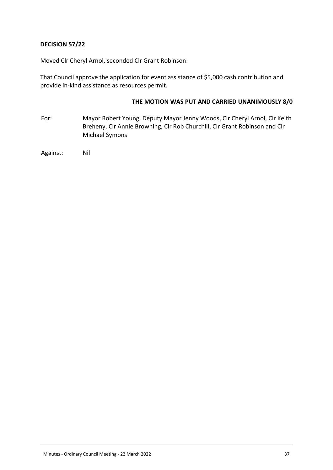## **DECISION 57/22**

Moved Clr Cheryl Arnol, seconded Clr Grant Robinson:

That Council approve the application for event assistance of \$5,000 cash contribution and provide in-kind assistance as resources permit.

## **THE MOTION WAS PUT AND CARRIED UNANIMOUSLY 8/0**

For: Mayor Robert Young, Deputy Mayor Jenny Woods, Clr Cheryl Arnol, Clr Keith Breheny, Clr Annie Browning, Clr Rob Churchill, Clr Grant Robinson and Clr Michael Symons

Against: Nil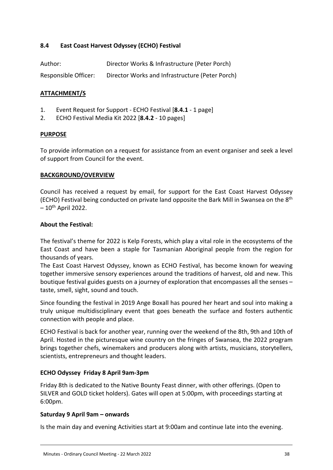## <span id="page-37-0"></span>**8.4 East Coast Harvest Odyssey (ECHO) Festival**

| Author:              | Director Works & Infrastructure (Peter Porch)   |
|----------------------|-------------------------------------------------|
| Responsible Officer: | Director Works and Infrastructure (Peter Porch) |

## **ATTACHMENT/S**

- 1. Event Request for Support ECHO Festival [**8.4.1** 1 page]
- 2. ECHO Festival Media Kit 2022 [**8.4.2** 10 pages]

#### **PURPOSE**

To provide information on a request for assistance from an event organiser and seek a level of support from Council for the event.

#### **BACKGROUND/OVERVIEW**

Council has received a request by email, for support for the East Coast Harvest Odyssey (ECHO) Festival being conducted on private land opposite the Bark Mill in Swansea on the 8th  $-10$ <sup>th</sup> April 2022.

#### **About the Festival:**

The festival's theme for 2022 is Kelp Forests, which play a vital role in the ecosystems of the East Coast and have been a staple for Tasmanian Aboriginal people from the region for thousands of years.

The East Coast Harvest Odyssey, known as ECHO Festival, has become known for weaving together immersive sensory experiences around the traditions of harvest, old and new. This boutique festival guides guests on a journey of exploration that encompasses all the senses – taste, smell, sight, sound and touch.

Since founding the festival in 2019 Ange Boxall has poured her heart and soul into making a truly unique multidisciplinary event that goes beneath the surface and fosters authentic connection with people and place.

ECHO Festival is back for another year, running over the weekend of the 8th, 9th and 10th of April. Hosted in the picturesque wine country on the fringes of Swansea, the 2022 program brings together chefs, winemakers and producers along with artists, musicians, storytellers, scientists, entrepreneurs and thought leaders.

#### **ECHO Odyssey Friday 8 April 9am-3pm**

Friday 8th is dedicated to the Native Bounty Feast dinner, with other offerings. (Open to SILVER and GOLD ticket holders). Gates will open at 5:00pm, with proceedings starting at 6:00pm.

#### **Saturday 9 April 9am – onwards**

Is the main day and evening Activities start at 9:00am and continue late into the evening.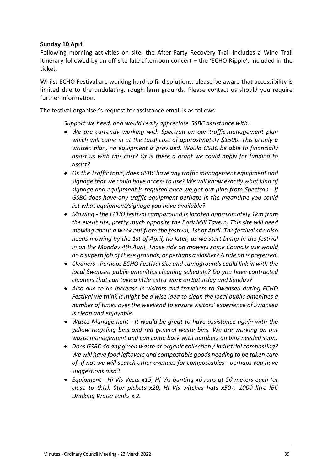## **Sunday 10 April**

Following morning activities on site, the After-Party Recovery Trail includes a Wine Trail itinerary followed by an off-site late afternoon concert – the 'ECHO Ripple', included in the ticket.

Whilst ECHO Festival are working hard to find solutions, please be aware that accessibility is limited due to the undulating, rough farm grounds. Please contact us should you require further information.

The festival organiser's request for assistance email is as follows:

*Support we need, and would really appreciate GSBC assistance with:*

- *We are currently working with Spectran on our traffic management plan which will come in at the total cost of approximately \$1500. This is only a written plan, no equipment is provided. Would GSBC be able to financially assist us with this cost? Or is there a grant we could apply for funding to assist?*
- *On the Traffic topic, does GSBC have any traffic management equipment and signage that we could have access to use? We will know exactly what kind of signage and equipment is required once we get our plan from Spectran - if GSBC does have any traffic equipment perhaps in the meantime you could list what equipment/signage you have available?*
- *Mowing the ECHO festival campground is located approximately 1km from the event site, pretty much opposite the Bark Mill Tavern. This site will need mowing about a week out from the festival, 1st of April. The festival site also needs mowing by the 1st of April, no later, as we start bump-in the festival in on the Monday 4th April. Those ride on mowers some Councils use would do a superb job of these grounds, or perhaps a slasher? A ride on is preferred.*
- *Cleaners Perhaps ECHO Festival site and campgrounds could link in with the local Swansea public amenities cleaning schedule? Do you have contracted cleaners that can take a little extra work on Saturday and Sunday?*
- *Also due to an increase in visitors and travellers to Swansea during ECHO Festival we think it might be a wise idea to clean the local public amenities a number of times over the weekend to ensure visitors' experience of Swansea is clean and enjoyable.*
- *Waste Management It would be great to have assistance again with the yellow recycling bins and red general waste bins. We are working on our waste management and can come back with numbers on bins needed soon.*
- *Does GSBC do any green waste or organic collection / industrial composting? We will have food leftovers and compostable goods needing to be taken care of. If not we will search other avenues for compostables - perhaps you have suggestions also?*
- *Equipment Hi Vis Vests x15, Hi Vis bunting x6 runs at 50 meters each (or close to this), Star pickets x20, Hi Vis witches hats x50+, 1000 litre IBC Drinking Water tanks x 2.*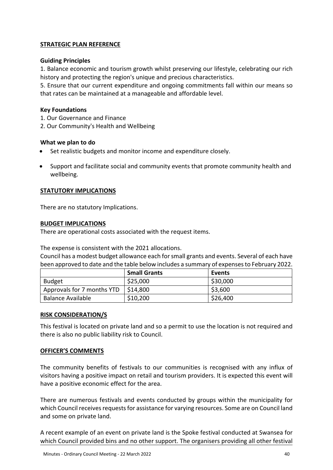## **STRATEGIC PLAN REFERENCE**

## **Guiding Principles**

1. Balance economic and tourism growth whilst preserving our lifestyle, celebrating our rich history and protecting the region's unique and precious characteristics.

5. Ensure that our current expenditure and ongoing commitments fall within our means so that rates can be maintained at a manageable and affordable level.

## **Key Foundations**

- 1. Our Governance and Finance
- 2. Our Community's Health and Wellbeing

## **What we plan to do**

- Set realistic budgets and monitor income and expenditure closely.
- Support and facilitate social and community events that promote community health and wellbeing.

## **STATUTORY IMPLICATIONS**

There are no statutory Implications.

#### **BUDGET IMPLICATIONS**

There are operational costs associated with the request items.

The expense is consistent with the 2021 allocations.

Council has a modest budget allowance each for small grants and events. Several of each have been approved to date and the table below includes a summary of expenses to February 2022.

|                            | <b>Small Grants</b> | Events   |
|----------------------------|---------------------|----------|
| Budget                     | \$25,000            | \$30,000 |
| Approvals for 7 months YTD | \$14,800            | \$3,600  |
| Balance Available          | \$10,200            | \$26,400 |

#### **RISK CONSIDERATION/S**

This festival is located on private land and so a permit to use the location is not required and there is also no public liability risk to Council.

#### **OFFICER'S COMMENTS**

The community benefits of festivals to our communities is recognised with any influx of visitors having a positive impact on retail and tourism providers. It is expected this event will have a positive economic effect for the area.

There are numerous festivals and events conducted by groups within the municipality for which Council receives requests for assistance for varying resources. Some are on Council land and some on private land.

A recent example of an event on private land is the Spoke festival conducted at Swansea for which Council provided bins and no other support. The organisers providing all other festival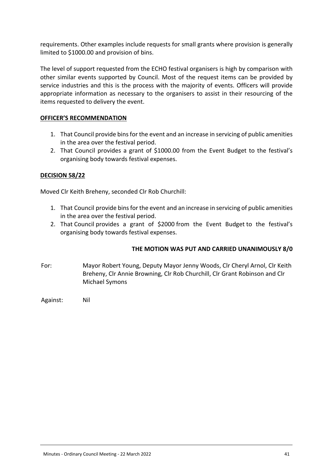requirements. Other examples include requests for small grants where provision is generally limited to \$1000.00 and provision of bins.

The level of support requested from the ECHO festival organisers is high by comparison with other similar events supported by Council. Most of the request items can be provided by service industries and this is the process with the majority of events. Officers will provide appropriate information as necessary to the organisers to assist in their resourcing of the items requested to delivery the event.

## **OFFICER'S RECOMMENDATION**

- 1. That Council provide bins for the event and an increase in servicing of public amenities in the area over the festival period.
- 2. That Council provides a grant of \$1000.00 from the Event Budget to the festival's organising body towards festival expenses.

## **DECISION 58/22**

Moved Clr Keith Breheny, seconded Clr Rob Churchill:

- 1. That Council provide bins for the event and an increase in servicing of public amenities in the area over the festival period.
- 2. That Council provides a grant of \$2000 from the Event Budget to the festival's organising body towards festival expenses.

## **THE MOTION WAS PUT AND CARRIED UNANIMOUSLY 8/0**

- For: Mayor Robert Young, Deputy Mayor Jenny Woods, Clr Cheryl Arnol, Clr Keith Breheny, Clr Annie Browning, Clr Rob Churchill, Clr Grant Robinson and Clr Michael Symons
- Against: Nil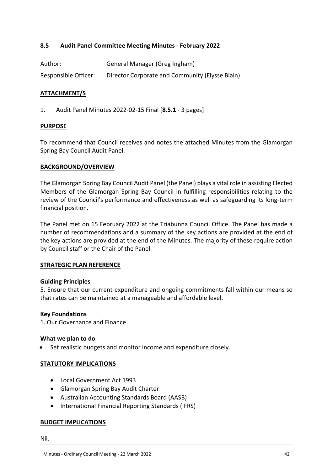## <span id="page-41-0"></span>**8.5 Audit Panel Committee Meeting Minutes - February 2022**

| Author:              | General Manager (Greg Ingham)                   |
|----------------------|-------------------------------------------------|
| Responsible Officer: | Director Corporate and Community (Elysse Blain) |

#### **ATTACHMENT/S**

1. Audit Panel Minutes 2022-02-15 Final [**8.5.1** - 3 pages]

#### **PURPOSE**

To recommend that Council receives and notes the attached Minutes from the Glamorgan Spring Bay Council Audit Panel.

#### **BACKGROUND/OVERVIEW**

The Glamorgan Spring Bay Council Audit Panel (the Panel) plays a vital role in assisting Elected Members of the Glamorgan Spring Bay Council in fulfilling responsibilities relating to the review of the Council's performance and effectiveness as well as safeguarding its long-term financial position.

The Panel met on 15 February 2022 at the Triabunna Council Office. The Panel has made a number of recommendations and a summary of the key actions are provided at the end of the key actions are provided at the end of the Minutes. The majority of these require action by Council staff or the Chair of the Panel.

#### **STRATEGIC PLAN REFERENCE**

#### **Guiding Principles**

5. Ensure that our current expenditure and ongoing commitments fall within our means so that rates can be maintained at a manageable and affordable level.

#### **Key Foundations**

1. Our Governance and Finance

#### **What we plan to do**

Set realistic budgets and monitor income and expenditure closely.

#### **STATUTORY IMPLICATIONS**

- Local Government Act 1993
- Glamorgan Spring Bay Audit Charter
- Australian Accounting Standards Board (AASB)
- International Financial Reporting Standards (IFRS)

#### **BUDGET IMPLICATIONS**

Nil.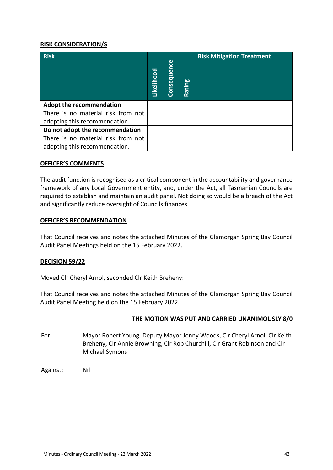#### **RISK CONSIDERATION/S**

| <b>Risk</b>                        | Likelihood | Consequence | Rating | <b>Risk Mitigation Treatment</b> |
|------------------------------------|------------|-------------|--------|----------------------------------|
| <b>Adopt the recommendation</b>    |            |             |        |                                  |
| There is no material risk from not |            |             |        |                                  |
| adopting this recommendation.      |            |             |        |                                  |
| Do not adopt the recommendation    |            |             |        |                                  |
| There is no material risk from not |            |             |        |                                  |
| adopting this recommendation.      |            |             |        |                                  |

## **OFFICER'S COMMENTS**

The audit function is recognised as a critical component in the accountability and governance framework of any Local Government entity, and, under the Act, all Tasmanian Councils are required to establish and maintain an audit panel. Not doing so would be a breach of the Act and significantly reduce oversight of Councils finances.

#### **OFFICER'S RECOMMENDATION**

That Council receives and notes the attached Minutes of the Glamorgan Spring Bay Council Audit Panel Meetings held on the 15 February 2022.

#### **DECISION 59/22**

Moved Clr Cheryl Arnol, seconded Clr Keith Breheny:

That Council receives and notes the attached Minutes of the Glamorgan Spring Bay Council Audit Panel Meeting held on the 15 February 2022.

#### **THE MOTION WAS PUT AND CARRIED UNANIMOUSLY 8/0**

- For: Mayor Robert Young, Deputy Mayor Jenny Woods, Clr Cheryl Arnol, Clr Keith Breheny, Clr Annie Browning, Clr Rob Churchill, Clr Grant Robinson and Clr Michael Symons
- Against: Nil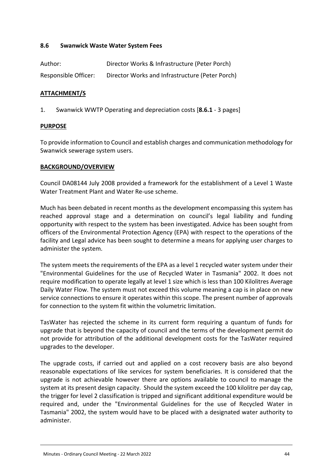## <span id="page-43-0"></span>**8.6 Swanwick Waste Water System Fees**

| Author:              | Director Works & Infrastructure (Peter Porch)   |
|----------------------|-------------------------------------------------|
| Responsible Officer: | Director Works and Infrastructure (Peter Porch) |

## **ATTACHMENT/S**

1. Swanwick WWTP Operating and depreciation costs [**8.6.1** - 3 pages]

#### **PURPOSE**

To provide information to Council and establish charges and communication methodology for Swanwick sewerage system users.

#### **BACKGROUND/OVERVIEW**

Council DA08144 July 2008 provided a framework for the establishment of a Level 1 Waste Water Treatment Plant and Water Re-use scheme.

Much has been debated in recent months as the development encompassing this system has reached approval stage and a determination on council's legal liability and funding opportunity with respect to the system has been investigated. Advice has been sought from officers of the Environmental Protection Agency (EPA) with respect to the operations of the facility and Legal advice has been sought to determine a means for applying user charges to administer the system.

The system meets the requirements of the EPA as a level 1 recycled water system under their "Environmental Guidelines for the use of Recycled Water in Tasmania" 2002. It does not require modification to operate legally at level 1 size which is less than 100 Kilolitres Average Daily Water Flow. The system must not exceed this volume meaning a cap is in place on new service connections to ensure it operates within this scope. The present number of approvals for connection to the system fit within the volumetric limitation.

TasWater has rejected the scheme in its current form requiring a quantum of funds for upgrade that is beyond the capacity of council and the terms of the development permit do not provide for attribution of the additional development costs for the TasWater required upgrades to the developer.

The upgrade costs, if carried out and applied on a cost recovery basis are also beyond reasonable expectations of like services for system beneficiaries. It is considered that the upgrade is not achievable however there are options available to council to manage the system at its present design capacity. Should the system exceed the 100 kilolitre per day cap, the trigger for level 2 classification is tripped and significant additional expenditure would be required and, under the "Environmental Guidelines for the use of Recycled Water in Tasmania" 2002, the system would have to be placed with a designated water authority to administer.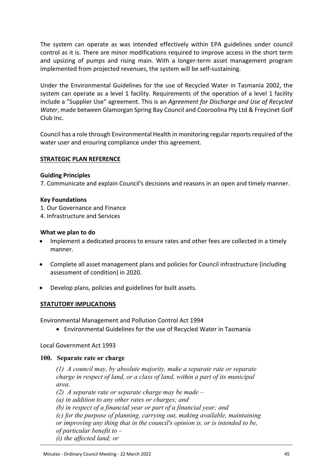The system can operate as was intended effectively within EPA guidelines under council control as it is. There are minor modifications required to improve access in the short term and upsizing of pumps and rising main. With a longer-term asset management program implemented from projected revenues, the system will be self-sustaining.

Under the Environmental Guidelines for the use of Recycled Water in Tasmania 2002, the system can operate as a level 1 facility. Requirements of the operation of a level 1 facility include a "Supplier Use" agreement. This is an *Agreement for Discharge and Use of Recycled Water*, made between Glamorgan Spring Bay Council and Cooroolina Pty Ltd & Freycinet Golf Club Inc.

Council has a role through Environmental Health in monitoring regular reports required of the water user and ensuring compliance under this agreement.

## **STRATEGIC PLAN REFERENCE**

#### **Guiding Principles**

7. Communicate and explain Council's decisions and reasons in an open and timely manner.

#### **Key Foundations**

1. Our Governance and Finance

4. Infrastructure and Services

#### **What we plan to do**

- Implement a dedicated process to ensure rates and other fees are collected in a timely manner.
- Complete all asset management plans and policies for Council infrastructure (including assessment of condition) in 2020.
- Develop plans, policies and guidelines for built assets.

#### **STATUTORY IMPLICATIONS**

Environmental Management and Pollution Control Act 1994

Environmental Guidelines for the use of Recycled Water in Tasmania

Local Government Act 1993

#### **100. Separate rate or charge**

*(1) A council may, by absolute majority, make a separate rate or separate charge in respect of land, or a class of land, within a part of its municipal area.*

*(2) A separate rate or separate charge may be made –*

*(a) in addition to any other rates or charges; and*

*(b) in respect of a financial year or part of a financial year; and*

*(c) for the purpose of planning, carrying out, making available, maintaining*

*or improving any thing that in the council's opinion is, or is intended to be,* 

*of particular benefit to –*

*(i) the affected land; or*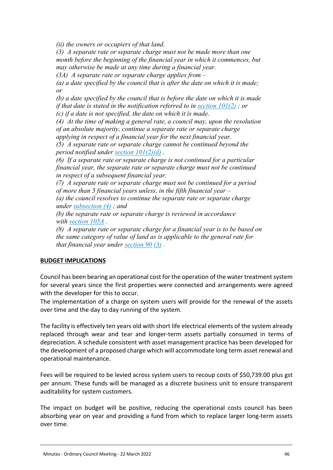*(ii) the owners or occupiers of that land.*

*(3) A separate rate or separate charge must not be made more than one month before the beginning of the financial year in which it commences, but may otherwise be made at any time during a financial year.*

*(3A) A separate rate or separate charge applies from –*

*(a) a date specified by the council that is after the date on which it is made; or*

*(b) a date specified by the council that is before the date on which it is made if that date is stated in the notification referred to in [section 101\(2\)](https://www.legislation.tas.gov.au/view/html/inforce/current/act-1993-095#GS101@Gs2@EN) ; or (c) if a date is not specified, the date on which it is made.*

*(4) At the time of making a general rate, a council may, upon the resolution of an absolute majority, continue a separate rate or separate charge applying in respect of a financial year for the next financial year.*

*(5) A separate rate or separate charge cannot be continued beyond the period notified under [section 101\(2\)\(d\)](https://www.legislation.tas.gov.au/view/html/inforce/current/act-1993-095#GS101@Gs2@Hpd@EN) .*

*(6) If a separate rate or separate charge is not continued for a particular financial year, the separate rate or separate charge must not be continued in respect of a subsequent financial year.*

*(7) A separate rate or separate charge must not be continued for a period of more than 5 financial years unless, in the fifth financial year –*

*(a) the council resolves to continue the separate rate or separate charge under [subsection \(4\)](https://www.legislation.tas.gov.au/view/html/inforce/current/act-1993-095#GS100@Gs4@EN) ; and*

*(b) the separate rate or separate charge is reviewed in accordance with [section 105A](https://www.legislation.tas.gov.au/view/html/inforce/current/act-1993-095#GS105A@EN) .*

*(8) A separate rate or separate charge for a financial year is to be based on the same category of value of land as is applicable to the general rate for that financial year under [section 90](https://www.legislation.tas.gov.au/view/html/inforce/current/act-1993-095#GS90@EN) [\(3\)](https://www.legislation.tas.gov.au/view/html/inforce/current/act-1993-095#GS90@Gs3@EN) .*

## **BUDGET IMPLICATIONS**

Council has been bearing an operational cost for the operation of the water treatment system for several years since the first properties were connected and arrangements were agreed with the developer for this to occur.

The implementation of a charge on system users will provide for the renewal of the assets over time and the day to day running of the system.

The facility is effectively ten years old with short life electrical elements of the system already replaced through wear and tear and longer-term assets partially consumed in terms of depreciation. A schedule consistent with asset management practice has been developed for the development of a proposed charge which will accommodate long term asset renewal and operational maintenance.

Fees will be required to be levied across system users to recoup costs of \$50,739.00 plus gst per annum. These funds will be managed as a discrete business unit to ensure transparent auditability for system customers.

The impact on budget will be positive, reducing the operational costs council has been absorbing year on year and providing a fund from which to replace larger long-term assets over time.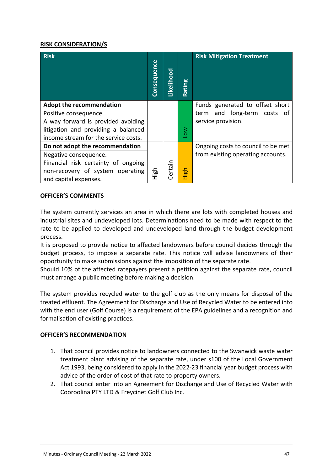## **RISK CONSIDERATION/S**

| <b>Risk</b>                          | <b>Consequence</b> | Likelihood | Rating           | <b>Risk Mitigation Treatment</b>   |
|--------------------------------------|--------------------|------------|------------------|------------------------------------|
| <b>Adopt the recommendation</b>      |                    |            |                  | Funds generated to offset short    |
| Positive consequence.                |                    |            |                  | and long-term costs of<br>term     |
| A way forward is provided avoiding   |                    |            |                  | service provision.                 |
| litigation and providing a balanced  |                    |            | $\sum_{i=1}^{n}$ |                                    |
| income stream for the service costs. |                    |            |                  |                                    |
| Do not adopt the recommendation      |                    |            |                  | Ongoing costs to council to be met |
| Negative consequence.                |                    |            |                  | from existing operating accounts.  |
| Financial risk certainty of ongoing  |                    |            |                  |                                    |
| non-recovery of system operating     | High               | Certain    | <b>High</b>      |                                    |
| and capital expenses.                |                    |            |                  |                                    |

#### **OFFICER'S COMMENTS**

The system currently services an area in which there are lots with completed houses and industrial sites and undeveloped lots. Determinations need to be made with respect to the rate to be applied to developed and undeveloped land through the budget development process.

It is proposed to provide notice to affected landowners before council decides through the budget process, to impose a separate rate. This notice will advise landowners of their opportunity to make submissions against the imposition of the separate rate.

Should 10% of the affected ratepayers present a petition against the separate rate, council must arrange a public meeting before making a decision.

The system provides recycled water to the golf club as the only means for disposal of the treated effluent. The Agreement for Discharge and Use of Recycled Water to be entered into with the end user (Golf Course) is a requirement of the EPA guidelines and a recognition and formalisation of existing practices.

## **OFFICER'S RECOMMENDATION**

- 1. That council provides notice to landowners connected to the Swanwick waste water treatment plant advising of the separate rate, under s100 of the Local Government Act 1993, being considered to apply in the 2022-23 financial year budget process with advice of the order of cost of that rate to property owners.
- 2. That council enter into an Agreement for Discharge and Use of Recycled Water with Cooroolina PTY LTD & Freycinet Golf Club Inc.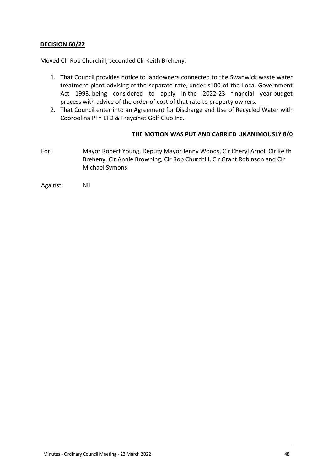## **DECISION 60/22**

Moved Clr Rob Churchill, seconded Clr Keith Breheny:

- 1. That Council provides notice to landowners connected to the Swanwick waste water treatment plant advising of the separate rate, under s100 of the Local Government Act 1993, being considered to apply in the 2022-23 financial year budget process with advice of the order of cost of that rate to property owners.
- 2. That Council enter into an Agreement for Discharge and Use of Recycled Water with Cooroolina PTY LTD & Freycinet Golf Club Inc.

## **THE MOTION WAS PUT AND CARRIED UNANIMOUSLY 8/0**

For: Mayor Robert Young, Deputy Mayor Jenny Woods, Clr Cheryl Arnol, Clr Keith Breheny, Clr Annie Browning, Clr Rob Churchill, Clr Grant Robinson and Clr Michael Symons

Against: Nil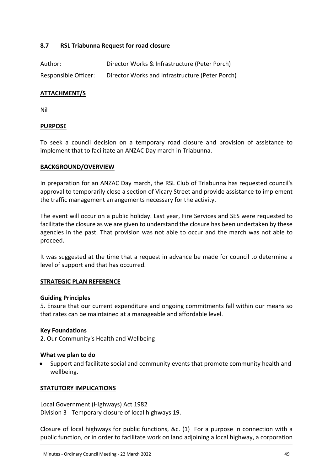## <span id="page-48-0"></span>**8.7 RSL Triabunna Request for road closure**

| Author:              | Director Works & Infrastructure (Peter Porch)   |
|----------------------|-------------------------------------------------|
| Responsible Officer: | Director Works and Infrastructure (Peter Porch) |

## **ATTACHMENT/S**

Nil

#### **PURPOSE**

To seek a council decision on a temporary road closure and provision of assistance to implement that to facilitate an ANZAC Day march in Triabunna.

#### **BACKGROUND/OVERVIEW**

In preparation for an ANZAC Day march, the RSL Club of Triabunna has requested council's approval to temporarily close a section of Vicary Street and provide assistance to implement the traffic management arrangements necessary for the activity.

The event will occur on a public holiday. Last year, Fire Services and SES were requested to facilitate the closure as we are given to understand the closure has been undertaken by these agencies in the past. That provision was not able to occur and the march was not able to proceed.

It was suggested at the time that a request in advance be made for council to determine a level of support and that has occurred.

#### **STRATEGIC PLAN REFERENCE**

#### **Guiding Principles**

5. Ensure that our current expenditure and ongoing commitments fall within our means so that rates can be maintained at a manageable and affordable level.

#### **Key Foundations**

2. Our Community's Health and Wellbeing

#### **What we plan to do**

 Support and facilitate social and community events that promote community health and wellbeing.

#### **STATUTORY IMPLICATIONS**

Local Government (Highways) Act 1982 Division 3 - Temporary closure of local highways 19.

Closure of local highways for public functions, &c. (1) For a purpose in connection with a public function, or in order to facilitate work on land adjoining a local highway, a corporation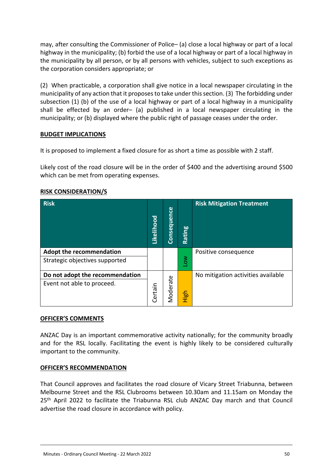may, after consulting the Commissioner of Police– (a) close a local highway or part of a local highway in the municipality; (b) forbid the use of a local highway or part of a local highway in the municipality by all person, or by all persons with vehicles, subject to such exceptions as the corporation considers appropriate; or

(2) When practicable, a corporation shall give notice in a local newspaper circulating in the municipality of any action that it proposes to take under this section. (3) The forbidding under subsection (1) (b) of the use of a local highway or part of a local highway in a municipality shall be effected by an order– (a) published in a local newspaper circulating in the municipality; or (b) displayed where the public right of passage ceases under the order.

## **BUDGET IMPLICATIONS**

It is proposed to implement a fixed closure for as short a time as possible with 2 staff.

Likely cost of the road closure will be in the order of \$400 and the advertising around \$500 which can be met from operating expenses.

| <b>Risk</b>                                                       | Likelihood | Consequence | <b>bo</b><br>tin<br><b>Ra</b> | <b>Risk Mitigation Treatment</b>   |
|-------------------------------------------------------------------|------------|-------------|-------------------------------|------------------------------------|
| <b>Adopt the recommendation</b><br>Strategic objectives supported |            |             | $\sum_{i=1}^{\infty}$         | Positive consequence               |
| Do not adopt the recommendation<br>Event not able to proceed.     | Certain    | Moderate    | High                          | No mitigation activities available |

## **RISK CONSIDERATION/S**

#### **OFFICER'S COMMENTS**

ANZAC Day is an important commemorative activity nationally; for the community broadly and for the RSL locally. Facilitating the event is highly likely to be considered culturally important to the community.

## **OFFICER'S RECOMMENDATION**

That Council approves and facilitates the road closure of Vicary Street Triabunna, between Melbourne Street and the RSL Clubrooms between 10.30am and 11.15am on Monday the 25<sup>th</sup> April 2022 to facilitate the Triabunna RSL club ANZAC Day march and that Council advertise the road closure in accordance with policy.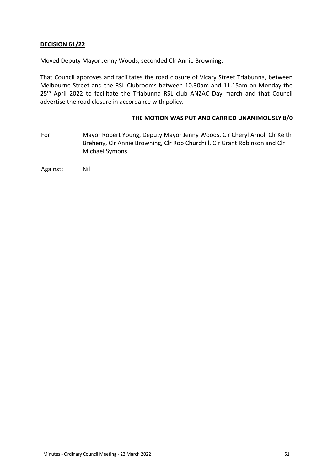## **DECISION 61/22**

Moved Deputy Mayor Jenny Woods, seconded Clr Annie Browning:

That Council approves and facilitates the road closure of Vicary Street Triabunna, between Melbourne Street and the RSL Clubrooms between 10.30am and 11.15am on Monday the 25<sup>th</sup> April 2022 to facilitate the Triabunna RSL club ANZAC Day march and that Council advertise the road closure in accordance with policy.

#### **THE MOTION WAS PUT AND CARRIED UNANIMOUSLY 8/0**

For: Mayor Robert Young, Deputy Mayor Jenny Woods, Clr Cheryl Arnol, Clr Keith Breheny, Clr Annie Browning, Clr Rob Churchill, Clr Grant Robinson and Clr Michael Symons

Against: Nil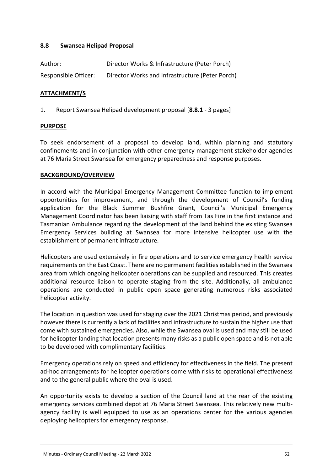## <span id="page-51-0"></span>**8.8 Swansea Helipad Proposal**

| Author:              | Director Works & Infrastructure (Peter Porch)   |
|----------------------|-------------------------------------------------|
| Responsible Officer: | Director Works and Infrastructure (Peter Porch) |

## **ATTACHMENT/S**

1. Report Swansea Helipad development proposal [**8.8.1** - 3 pages]

#### **PURPOSE**

To seek endorsement of a proposal to develop land, within planning and statutory confinements and in conjunction with other emergency management stakeholder agencies at 76 Maria Street Swansea for emergency preparedness and response purposes.

## **BACKGROUND/OVERVIEW**

In accord with the Municipal Emergency Management Committee function to implement opportunities for improvement, and through the development of Council's funding application for the Black Summer Bushfire Grant, Council's Municipal Emergency Management Coordinator has been liaising with staff from Tas Fire in the first instance and Tasmanian Ambulance regarding the development of the land behind the existing Swansea Emergency Services building at Swansea for more intensive helicopter use with the establishment of permanent infrastructure.

Helicopters are used extensively in fire operations and to service emergency health service requirements on the East Coast. There are no permanent facilities established in the Swansea area from which ongoing helicopter operations can be supplied and resourced. This creates additional resource liaison to operate staging from the site. Additionally, all ambulance operations are conducted in public open space generating numerous risks associated helicopter activity.

The location in question was used for staging over the 2021 Christmas period, and previously however there is currently a lack of facilities and infrastructure to sustain the higher use that come with sustained emergencies. Also, while the Swansea oval is used and may still be used for helicopter landing that location presents many risks as a public open space and is not able to be developed with complimentary facilities.

Emergency operations rely on speed and efficiency for effectiveness in the field. The present ad-hoc arrangements for helicopter operations come with risks to operational effectiveness and to the general public where the oval is used.

An opportunity exists to develop a section of the Council land at the rear of the existing emergency services combined depot at 76 Maria Street Swansea. This relatively new multiagency facility is well equipped to use as an operations center for the various agencies deploying helicopters for emergency response.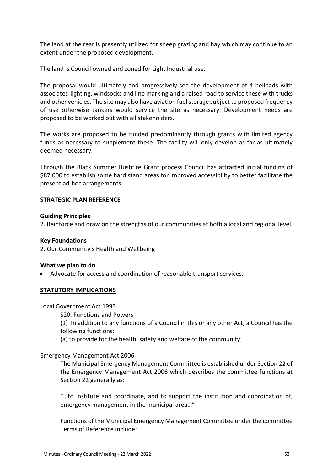The land at the rear is presently utilized for sheep grazing and hay which may continue to an extent under the proposed development.

The land is Council owned and zoned for Light Industrial use.

The proposal would ultimately and progressively see the development of 4 helipads with associated lighting, windsocks and line marking and a raised road to service these with trucks and other vehicles. The site may also have aviation fuel storage subject to proposed frequency of use otherwise tankers would service the site as necessary. Development needs are proposed to be worked out with all stakeholders.

The works are proposed to be funded predominantly through grants with limited agency funds as necessary to supplement these. The facility will only develop as far as ultimately deemed necessary.

Through the Black Summer Bushfire Grant process Council has attracted initial funding of \$87,000 to establish some hard stand areas for improved accessibility to better facilitate the present ad-hoc arrangements.

#### **STRATEGIC PLAN REFERENCE**

#### **Guiding Principles**

2. Reinforce and draw on the strengths of our communities at both a local and regional level.

#### **Key Foundations**

2. Our Community's Health and Wellbeing

#### **What we plan to do**

Advocate for access and coordination of reasonable transport services.

#### **STATUTORY IMPLICATIONS**

#### Local Government Act 1993

S20. Functions and Powers

(1) In addition to any functions of a Council in this or any other Act, a Council has the following functions:

(a) to provide for the health, safety and welfare of the community;

#### Emergency Management Act 2006

The Municipal Emergency Management Committee is established under Section 22 of the Emergency Management Act 2006 which describes the committee functions at Section 22 generally as:

"…to institute and coordinate, and to support the institution and coordination of, emergency management in the municipal area…"

Functions of the Municipal Emergency Management Committee under the committee Terms of Reference include: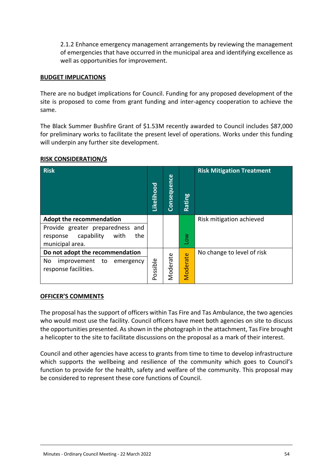2.1.2 Enhance emergency management arrangements by reviewing the management of emergencies that have occurred in the municipal area and identifying excellence as well as opportunities for improvement.

#### **BUDGET IMPLICATIONS**

There are no budget implications for Council. Funding for any proposed development of the site is proposed to come from grant funding and inter-agency cooperation to achieve the same.

The Black Summer Bushfire Grant of \$1.53M recently awarded to Council includes \$87,000 for preliminary works to facilitate the present level of operations. Works under this funding will underpin any further site development.

| <b>Risk</b>                                                                                                                     | Likelihood | Consequence | Rating                | <b>Risk Mitigation Treatment</b> |
|---------------------------------------------------------------------------------------------------------------------------------|------------|-------------|-----------------------|----------------------------------|
| <b>Adopt the recommendation</b><br>Provide greater preparedness and<br>capability<br>with<br>the<br>response<br>municipal area. |            |             | $\sum_{i=1}^{\infty}$ | Risk mitigation achieved         |
| Do not adopt the recommendation<br>No<br>improvement<br>to<br>emergency<br>response facilities.                                 | Possible   | Moderate    | Moderate              | No change to level of risk       |

#### **RISK CONSIDERATION/S**

#### **OFFICER'S COMMENTS**

The proposal has the support of officers within Tas Fire and Tas Ambulance, the two agencies who would most use the facility. Council officers have meet both agencies on site to discuss the opportunities presented. As shown in the photograph in the attachment, Tas Fire brought a helicopter to the site to facilitate discussions on the proposal as a mark of their interest.

Council and other agencies have access to grants from time to time to develop infrastructure which supports the wellbeing and resilience of the community which goes to Council's function to provide for the health, safety and welfare of the community. This proposal may be considered to represent these core functions of Council.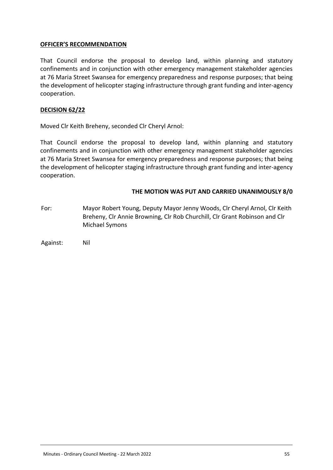## **OFFICER'S RECOMMENDATION**

That Council endorse the proposal to develop land, within planning and statutory confinements and in conjunction with other emergency management stakeholder agencies at 76 Maria Street Swansea for emergency preparedness and response purposes; that being the development of helicopter staging infrastructure through grant funding and inter-agency cooperation.

#### **DECISION 62/22**

Moved Clr Keith Breheny, seconded Clr Cheryl Arnol:

That Council endorse the proposal to develop land, within planning and statutory confinements and in conjunction with other emergency management stakeholder agencies at 76 Maria Street Swansea for emergency preparedness and response purposes; that being the development of helicopter staging infrastructure through grant funding and inter-agency cooperation.

## **THE MOTION WAS PUT AND CARRIED UNANIMOUSLY 8/0**

For: Mayor Robert Young, Deputy Mayor Jenny Woods, Clr Cheryl Arnol, Clr Keith Breheny, Clr Annie Browning, Clr Rob Churchill, Clr Grant Robinson and Clr Michael Symons

Against: Nil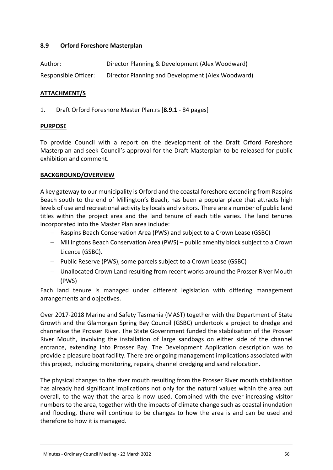## <span id="page-55-0"></span>**8.9 Orford Foreshore Masterplan**

| Author:              | Director Planning & Development (Alex Woodward)   |
|----------------------|---------------------------------------------------|
| Responsible Officer: | Director Planning and Development (Alex Woodward) |

## **ATTACHMENT/S**

1. Draft Orford Foreshore Master Plan.rs [**8.9.1** - 84 pages]

#### **PURPOSE**

To provide Council with a report on the development of the Draft Orford Foreshore Masterplan and seek Council's approval for the Draft Masterplan to be released for public exhibition and comment.

## **BACKGROUND/OVERVIEW**

A key gateway to our municipality is Orford and the coastal foreshore extending from Raspins Beach south to the end of Millington's Beach, has been a popular place that attracts high levels of use and recreational activity by locals and visitors. There are a number of public land titles within the project area and the land tenure of each title varies. The land tenures incorporated into the Master Plan area include:

- Raspins Beach Conservation Area (PWS) and subject to a Crown Lease (GSBC)
- Millingtons Beach Conservation Area (PWS) public amenity block subject to a Crown Licence (GSBC).
- Public Reserve (PWS), some parcels subject to a Crown Lease (GSBC)
- Unallocated Crown Land resulting from recent works around the Prosser River Mouth (PWS)

Each land tenure is managed under different legislation with differing management arrangements and objectives.

Over 2017-2018 Marine and Safety Tasmania (MAST) together with the Department of State Growth and the Glamorgan Spring Bay Council (GSBC) undertook a project to dredge and channelise the Prosser River. The State Government funded the stabilisation of the Prosser River Mouth, involving the installation of large sandbags on either side of the channel entrance, extending into Prosser Bay. The Development Application description was to provide a pleasure boat facility. There are ongoing management implications associated with this project, including monitoring, repairs, channel dredging and sand relocation.

The physical changes to the river mouth resulting from the Prosser River mouth stabilisation has already had significant implications not only for the natural values within the area but overall, to the way that the area is now used. Combined with the ever-increasing visitor numbers to the area, together with the impacts of climate change such as coastal inundation and flooding, there will continue to be changes to how the area is and can be used and therefore to how it is managed.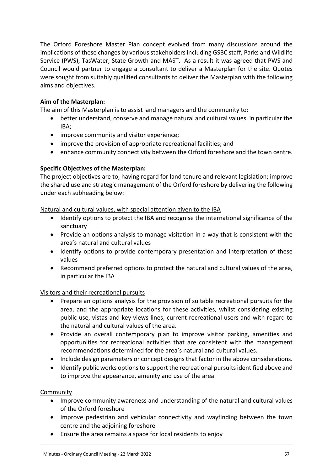The Orford Foreshore Master Plan concept evolved from many discussions around the implications of these changes by various stakeholders including GSBC staff, Parks and Wildlife Service (PWS), TasWater, State Growth and MAST. As a result it was agreed that PWS and Council would partner to engage a consultant to deliver a Masterplan for the site. Quotes were sought from suitably qualified consultants to deliver the Masterplan with the following aims and objectives.

## **Aim of the Masterplan:**

The aim of this Masterplan is to assist land managers and the community to:

- better understand, conserve and manage natural and cultural values, in particular the IBA;
- improve community and visitor experience;
- improve the provision of appropriate recreational facilities; and
- enhance community connectivity between the Orford foreshore and the town centre.

#### **Specific Objectives of the Masterplan:**

The project objectives are to, having regard for land tenure and relevant legislation; improve the shared use and strategic management of the Orford foreshore by delivering the following under each subheading below:

#### Natural and cultural values, with special attention given to the IBA

- Identify options to protect the IBA and recognise the international significance of the sanctuary
- Provide an options analysis to manage visitation in a way that is consistent with the area's natural and cultural values
- Identify options to provide contemporary presentation and interpretation of these values
- Recommend preferred options to protect the natural and cultural values of the area, in particular the IBA

#### Visitors and their recreational pursuits

- Prepare an options analysis for the provision of suitable recreational pursuits for the area, and the appropriate locations for these activities, whilst considering existing public use, vistas and key views lines, current recreational users and with regard to the natural and cultural values of the area.
- Provide an overall contemporary plan to improve visitor parking, amenities and opportunities for recreational activities that are consistent with the management recommendations determined for the area's natural and cultural values.
- Include design parameters or concept designs that factor in the above considerations.
- Identify public works options to support the recreational pursuits identified above and to improve the appearance, amenity and use of the area

#### Community

- Improve community awareness and understanding of the natural and cultural values of the Orford foreshore
- Improve pedestrian and vehicular connectivity and wayfinding between the town centre and the adjoining foreshore
- Ensure the area remains a space for local residents to enjoy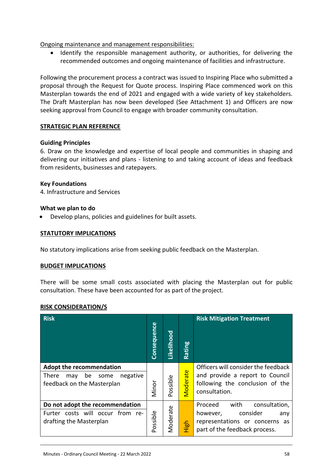Ongoing maintenance and management responsibilities:

 Identify the responsible management authority, or authorities, for delivering the recommended outcomes and ongoing maintenance of facilities and infrastructure.

Following the procurement process a contract was issued to Inspiring Place who submitted a proposal through the Request for Quote process. Inspiring Place commenced work on this Masterplan towards the end of 2021 and engaged with a wide variety of key stakeholders. The Draft Masterplan has now been developed (See Attachment 1) and Officers are now seeking approval from Council to engage with broader community consultation.

## **STRATEGIC PLAN REFERENCE**

## **Guiding Principles**

6. Draw on the knowledge and expertise of local people and communities in shaping and delivering our initiatives and plans - listening to and taking account of ideas and feedback from residents, businesses and ratepayers.

## **Key Foundations**

4. Infrastructure and Services

## **What we plan to do**

Develop plans, policies and guidelines for built assets.

#### **STATUTORY IMPLICATIONS**

No statutory implications arise from seeking public feedback on the Masterplan.

#### **BUDGET IMPLICATIONS**

There will be some small costs associated with placing the Masterplan out for public consultation. These have been accounted for as part of the project.

#### **RISK CONSIDERATION/S**

| <b>Risk</b>                                                                                                    | Consequence | Likelihood          | ဗူ<br>Ratiı | <b>Risk Mitigation Treatment</b>                                                                                                   |
|----------------------------------------------------------------------------------------------------------------|-------------|---------------------|-------------|------------------------------------------------------------------------------------------------------------------------------------|
| <b>Adopt the recommendation</b><br><b>There</b><br>negative<br>be<br>some<br>may<br>feedback on the Masterplan | Minor       | ossible<br>$\Omega$ | Vloderate   | Officers will consider the feedback<br>and provide a report to Council<br>following the conclusion of the<br>consultation.         |
| Do not adopt the recommendation<br>Furter costs will occur from re-<br>drafting the Masterplan                 | Possible    | Moderate            | 돎<br>Ξ      | with<br>consultation,<br>Proceed<br>consider<br>however,<br>any<br>representations or concerns as<br>part of the feedback process. |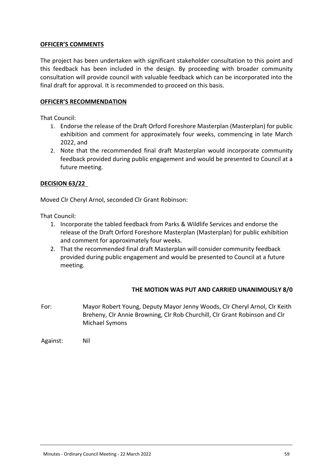## **OFFICER'S COMMENTS**

The project has been undertaken with significant stakeholder consultation to this point and this feedback has been included in the design. By proceeding with broader community consultation will provide council with valuable feedback which can be incorporated into the final draft for approval. It is recommended to proceed on this basis.

#### **OFFICER'S RECOMMENDATION**

That Council:

- 1. Endorse the release of the Draft Orford Foreshore Masterplan (Masterplan) for public exhibition and comment for approximately four weeks, commencing in late March 2022, and
- 2. Note that the recommended final draft Masterplan would incorporate community feedback provided during public engagement and would be presented to Council at a future meeting.

## **DECISION 63/22**

Moved Clr Cheryl Arnol, seconded Clr Grant Robinson:

That Council:

- 1. Incorporate the tabled feedback from Parks & Wildlife Services and endorse the release of the Draft Orford Foreshore Masterplan (Masterplan) for public exhibition and comment for approximately four weeks.
- 2. That the recommended final draft Masterplan will consider community feedback provided during public engagement and would be presented to Council at a future meeting.

## **THE MOTION WAS PUT AND CARRIED UNANIMOUSLY 8/0**

For: Mayor Robert Young, Deputy Mayor Jenny Woods, Clr Cheryl Arnol, Clr Keith Breheny, Clr Annie Browning, Clr Rob Churchill, Clr Grant Robinson and Clr Michael Symons

Against: Nil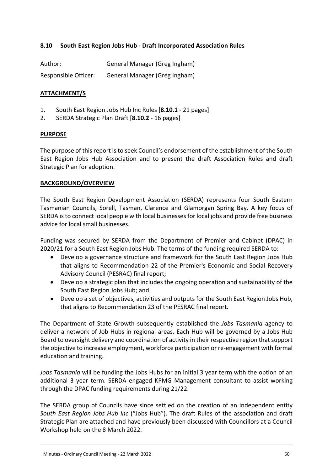## <span id="page-59-0"></span>**8.10 South East Region Jobs Hub - Draft Incorporated Association Rules**

| Author:              | General Manager (Greg Ingham) |
|----------------------|-------------------------------|
| Responsible Officer: | General Manager (Greg Ingham) |

## **ATTACHMENT/S**

- 1. South East Region Jobs Hub Inc Rules [**8.10.1** 21 pages]
- 2. SERDA Strategic Plan Draft [**8.10.2** 16 pages]

#### **PURPOSE**

The purpose of this report is to seek Council's endorsement of the establishment of the South East Region Jobs Hub Association and to present the draft Association Rules and draft Strategic Plan for adoption.

## **BACKGROUND/OVERVIEW**

The South East Region Development Association (SERDA) represents four South Eastern Tasmanian Councils, Sorell, Tasman, Clarence and Glamorgan Spring Bay. A key focus of SERDA is to connect local people with local businesses for local jobs and provide free business advice for local small businesses.

Funding was secured by SERDA from the Department of Premier and Cabinet (DPAC) in 2020/21 for a South East Region Jobs Hub. The terms of the funding required SERDA to:

- Develop a governance structure and framework for the South East Region Jobs Hub that aligns to Recommendation 22 of the Premier's Economic and Social Recovery Advisory Council (PESRAC) final report;
- Develop a strategic plan that includes the ongoing operation and sustainability of the South East Region Jobs Hub; and
- Develop a set of objectives, activities and outputs for the South East Region Jobs Hub, that aligns to Recommendation 23 of the PESRAC final report.

The Department of State Growth subsequently established the *Jobs Tasmania* agency to deliver a network of Job Hubs in regional areas. Each Hub will be governed by a Jobs Hub Board to oversight delivery and coordination of activity in their respective region that support the objective to increase employment, workforce participation or re-engagement with formal education and training.

*Jobs Tasmania* will be funding the Jobs Hubs for an initial 3 year term with the option of an additional 3 year term. SERDA engaged KPMG Management consultant to assist working through the DPAC funding requirements during 21/22.

The SERDA group of Councils have since settled on the creation of an independent entity *South East Region Jobs Hub Inc* ("Jobs Hub"). The draft Rules of the association and draft Strategic Plan are attached and have previously been discussed with Councillors at a Council Workshop held on the 8 March 2022.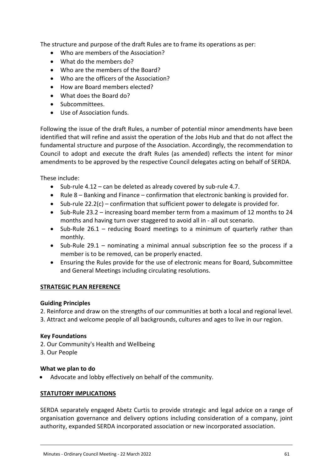The structure and purpose of the draft Rules are to frame its operations as per:

- Who are members of the Association?
- What do the members do?
- Who are the members of the Board?
- Who are the officers of the Association?
- How are Board members elected?
- What does the Board do?
- Subcommittees.
- Use of Association funds.

Following the issue of the draft Rules, a number of potential minor amendments have been identified that will refine and assist the operation of the Jobs Hub and that do not affect the fundamental structure and purpose of the Association. Accordingly, the recommendation to Council to adopt and execute the draft Rules (as amended) reflects the intent for minor amendments to be approved by the respective Council delegates acting on behalf of SERDA.

These include:

- $\bullet$  Sub-rule 4.12 can be deleted as already covered by sub-rule 4.7.
- $\bullet$  Rule 8 Banking and Finance confirmation that electronic banking is provided for.
- $\bullet$  Sub-rule 22.2(c) confirmation that sufficient power to delegate is provided for.
- Sub-Rule 23.2 increasing board member term from a maximum of 12 months to 24 months and having turn over staggered to avoid all in - all out scenario.
- Sub-Rule 26.1 reducing Board meetings to a minimum of quarterly rather than monthly.
- Sub-Rule 29.1 nominating a minimal annual subscription fee so the process if a member is to be removed, can be properly enacted.
- Ensuring the Rules provide for the use of electronic means for Board, Subcommittee and General Meetings including circulating resolutions.

## **STRATEGIC PLAN REFERENCE**

#### **Guiding Principles**

2. Reinforce and draw on the strengths of our communities at both a local and regional level.

3. Attract and welcome people of all backgrounds, cultures and ages to live in our region.

#### **Key Foundations**

- 2. Our Community's Health and Wellbeing
- 3. Our People

## **What we plan to do**

Advocate and lobby effectively on behalf of the community.

## **STATUTORY IMPLICATIONS**

SERDA separately engaged Abetz Curtis to provide strategic and legal advice on a range of organisation governance and delivery options including consideration of a company, joint authority, expanded SERDA incorporated association or new incorporated association.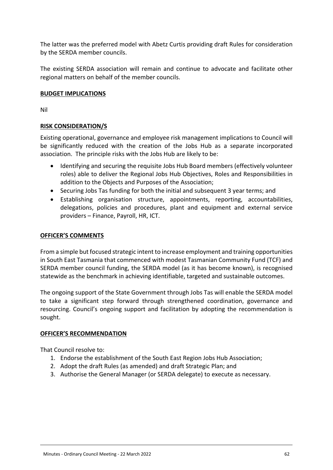The latter was the preferred model with Abetz Curtis providing draft Rules for consideration by the SERDA member councils.

The existing SERDA association will remain and continue to advocate and facilitate other regional matters on behalf of the member councils.

## **BUDGET IMPLICATIONS**

Nil

## **RISK CONSIDERATION/S**

Existing operational, governance and employee risk management implications to Council will be significantly reduced with the creation of the Jobs Hub as a separate incorporated association. The principle risks with the Jobs Hub are likely to be:

- Identifying and securing the requisite Jobs Hub Board members (effectively volunteer roles) able to deliver the Regional Jobs Hub Objectives, Roles and Responsibilities in addition to the Objects and Purposes of the Association;
- Securing Jobs Tas funding for both the initial and subsequent 3 year terms; and
- Establishing organisation structure, appointments, reporting, accountabilities, delegations, policies and procedures, plant and equipment and external service providers – Finance, Payroll, HR, ICT.

#### **OFFICER'S COMMENTS**

From a simple but focused strategic intent to increase employment and training opportunities in South East Tasmania that commenced with modest Tasmanian Community Fund (TCF) and SERDA member council funding, the SERDA model (as it has become known), is recognised statewide as the benchmark in achieving identifiable, targeted and sustainable outcomes.

The ongoing support of the State Government through Jobs Tas will enable the SERDA model to take a significant step forward through strengthened coordination, governance and resourcing. Council's ongoing support and facilitation by adopting the recommendation is sought.

#### **OFFICER'S RECOMMENDATION**

That Council resolve to:

- 1. Endorse the establishment of the South East Region Jobs Hub Association;
- 2. Adopt the draft Rules (as amended) and draft Strategic Plan; and
- 3. Authorise the General Manager (or SERDA delegate) to execute as necessary.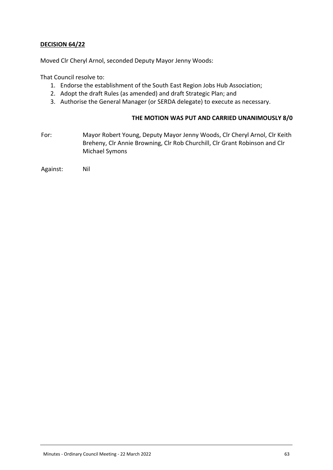## **DECISION 64/22**

Moved Clr Cheryl Arnol, seconded Deputy Mayor Jenny Woods:

That Council resolve to:

- 1. Endorse the establishment of the South East Region Jobs Hub Association;
- 2. Adopt the draft Rules (as amended) and draft Strategic Plan; and
- 3. Authorise the General Manager (or SERDA delegate) to execute as necessary.

#### **THE MOTION WAS PUT AND CARRIED UNANIMOUSLY 8/0**

For: Mayor Robert Young, Deputy Mayor Jenny Woods, Clr Cheryl Arnol, Clr Keith Breheny, Clr Annie Browning, Clr Rob Churchill, Clr Grant Robinson and Clr Michael Symons

Against: Nil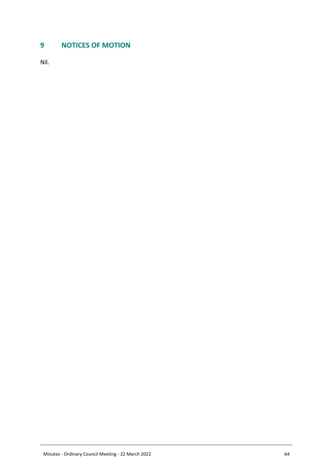# <span id="page-63-0"></span>**9 NOTICES OF MOTION**

Nil.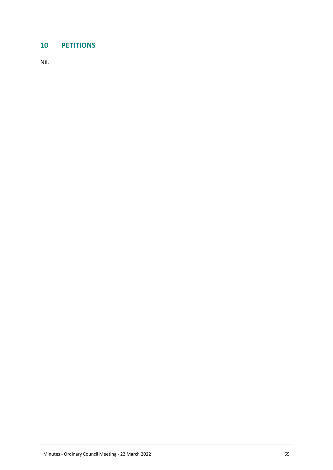# <span id="page-64-0"></span>**10 PETITIONS**

Nil.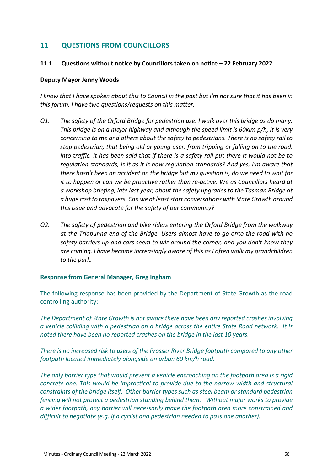# <span id="page-65-0"></span>**11 QUESTIONS FROM COUNCILLORS**

#### <span id="page-65-1"></span>**11.1 Questions without notice by Councillors taken on notice – 22 February 2022**

#### **Deputy Mayor Jenny Woods**

*I know that I have spoken about this to Council in the past but I'm not sure that it has been in this forum. I have two questions/requests on this matter.* 

- *Q1. The safety of the Orford Bridge for pedestrian use. I walk over this bridge as do many. This bridge is on a major highway and although the speed limit is 60klm p/h, it is very concerning to me and others about the safety to pedestrians. There is no safety rail to stop pedestrian, that being old or young user, from tripping or falling on to the road, into traffic. It has been said that if there is a safety rail put there it would not be to regulation standards, is it as it is now regulation standards? And yes, I'm aware that there hasn't been an accident on the bridge but my question is, do we need to wait for it to happen or can we be proactive rather than re-active. We as Councillors heard at a workshop briefing, late last year, about the safety upgrades to the Tasman Bridge at a huge cost to taxpayers. Can we at least start conversations with State Growth around this issue and advocate for the safety of our community?*
- *Q2. The safety of pedestrian and bike riders entering the Orford Bridge from the walkway at the Triabunna end of the Bridge. Users almost have to go onto the road with no safety barriers up and cars seem to wiz around the corner, and you don't know they are coming. I have become increasingly aware of this as I often walk my grandchildren to the park.*

#### **Response from General Manager, Greg Ingham**

The following response has been provided by the Department of State Growth as the road controlling authority:

*The Department of State Growth is not aware there have been any reported crashes involving a vehicle colliding with a pedestrian on a bridge across the entire State Road network. It is noted there have been no reported crashes on the bridge in the last 10 years.*

*There is no increased risk to users of the Prosser River Bridge footpath compared to any other footpath located immediately alongside an urban 60 km/h road.*

*The only barrier type that would prevent a vehicle encroaching on the footpath area is a rigid concrete one. This would be impractical to provide due to the narrow width and structural constraints of the bridge itself. Other barrier types such as steel beam or standard pedestrian fencing will not protect a pedestrian standing behind them. Without major works to provide a wider footpath, any barrier will necessarily make the footpath area more constrained and difficult to negotiate (e.g. if a cyclist and pedestrian needed to pass one another).*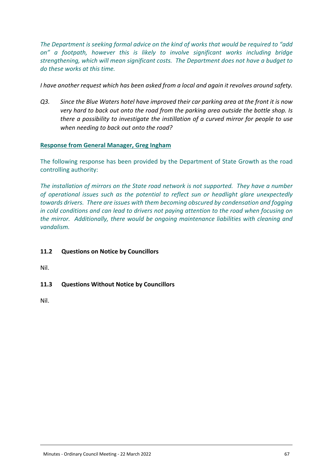*The Department is seeking formal advice on the kind of works that would be required to "add on" a footpath, however this is likely to involve significant works including bridge strengthening, which will mean significant costs. The Department does not have a budget to do these works at this time.*

*I have another request which has been asked from a local and again it revolves around safety.*

*Q3. Since the Blue Waters hotel have improved their car parking area at the front it is now very hard to back out onto the road from the parking area outside the bottle shop. Is there a possibility to investigate the instillation of a curved mirror for people to use when needing to back out onto the road?* 

## **Response from General Manager, Greg Ingham**

The following response has been provided by the Department of State Growth as the road controlling authority:

*The installation of mirrors on the State road network is not supported. They have a number of operational issues such as the potential to reflect sun or headlight glare unexpectedly towards drivers. There are issues with them becoming obscured by condensation and fogging in cold conditions and can lead to drivers not paying attention to the road when focusing on the mirror. Additionally, there would be ongoing maintenance liabilities with cleaning and vandalism.*

## <span id="page-66-0"></span>**11.2 Questions on Notice by Councillors**

Nil.

<span id="page-66-1"></span>**11.3 Questions Without Notice by Councillors**

Nil.